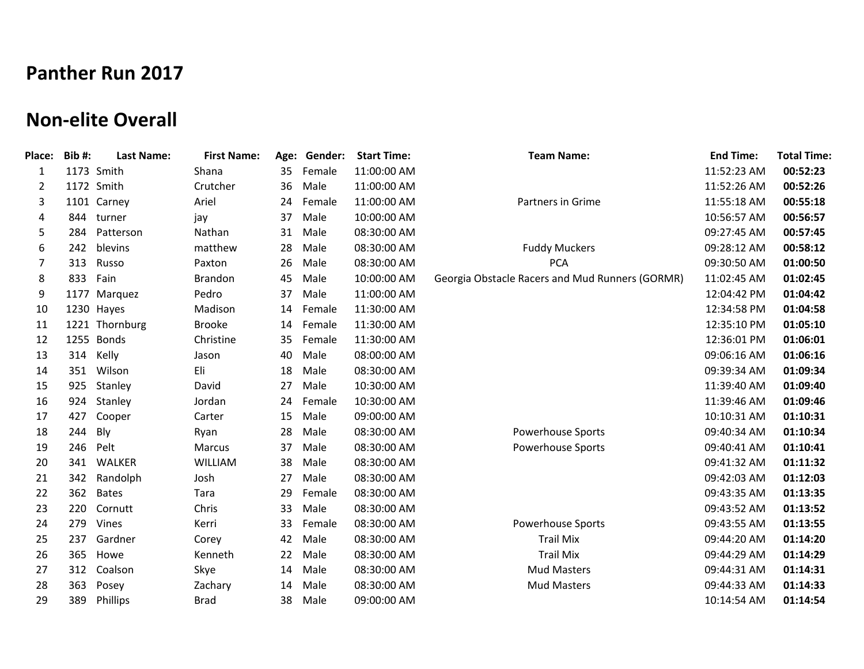## **Panther Run 2017**

## **Non-elite Overall**

| <b>Place:</b> | <b>Bib#:</b> | <b>Last Name:</b> | <b>First Name:</b> | Age: | Gender: | <b>Start Time:</b> | <b>Team Name:</b>                               | <b>End Time:</b> | <b>Total Time:</b> |
|---------------|--------------|-------------------|--------------------|------|---------|--------------------|-------------------------------------------------|------------------|--------------------|
| 1             |              | 1173 Smith        | Shana              | 35   | Female  | 11:00:00 AM        |                                                 | 11:52:23 AM      | 00:52:23           |
| 2             |              | 1172 Smith        | Crutcher           | 36   | Male    | 11:00:00 AM        |                                                 | 11:52:26 AM      | 00:52:26           |
| 3             |              | 1101 Carney       | Ariel              | 24   | Female  | 11:00:00 AM        | Partners in Grime                               | 11:55:18 AM      | 00:55:18           |
| 4             | 844          | turner            | jay                | 37   | Male    | 10:00:00 AM        |                                                 | 10:56:57 AM      | 00:56:57           |
| 5             | 284          | Patterson         | Nathan             | 31   | Male    | 08:30:00 AM        |                                                 | 09:27:45 AM      | 00:57:45           |
| 6             | 242          | blevins           | matthew            | 28   | Male    | 08:30:00 AM        | <b>Fuddy Muckers</b>                            | 09:28:12 AM      | 00:58:12           |
| 7             | 313          | Russo             | Paxton             | 26   | Male    | 08:30:00 AM        | <b>PCA</b>                                      | 09:30:50 AM      | 01:00:50           |
| 8             | 833          | Fain              | <b>Brandon</b>     | 45   | Male    | 10:00:00 AM        | Georgia Obstacle Racers and Mud Runners (GORMR) | 11:02:45 AM      | 01:02:45           |
| 9             |              | 1177 Marquez      | Pedro              | 37   | Male    | 11:00:00 AM        |                                                 | 12:04:42 PM      | 01:04:42           |
| 10            |              | 1230 Hayes        | Madison            | 14   | Female  | 11:30:00 AM        |                                                 | 12:34:58 PM      | 01:04:58           |
| 11            | 1221         | Thornburg         | <b>Brooke</b>      | 14   | Female  | 11:30:00 AM        |                                                 | 12:35:10 PM      | 01:05:10           |
| 12            |              | 1255 Bonds        | Christine          | 35   | Female  | 11:30:00 AM        |                                                 | 12:36:01 PM      | 01:06:01           |
| 13            | 314          | Kelly             | Jason              | 40   | Male    | 08:00:00 AM        |                                                 | 09:06:16 AM      | 01:06:16           |
| 14            | 351          | Wilson            | Eli                | 18   | Male    | 08:30:00 AM        |                                                 | 09:39:34 AM      | 01:09:34           |
| 15            | 925          | Stanley           | David              | 27   | Male    | 10:30:00 AM        |                                                 | 11:39:40 AM      | 01:09:40           |
| 16            | 924          | Stanley           | Jordan             | 24   | Female  | 10:30:00 AM        |                                                 | 11:39:46 AM      | 01:09:46           |
| 17            | 427          | Cooper            | Carter             | 15   | Male    | 09:00:00 AM        |                                                 | 10:10:31 AM      | 01:10:31           |
| 18            | 244          | Bly               | Ryan               | 28   | Male    | 08:30:00 AM        | <b>Powerhouse Sports</b>                        | 09:40:34 AM      | 01:10:34           |
| 19            | 246          | Pelt              | Marcus             | 37   | Male    | 08:30:00 AM        | <b>Powerhouse Sports</b>                        | 09:40:41 AM      | 01:10:41           |
| 20            | 341          | <b>WALKER</b>     | <b>WILLIAM</b>     | 38   | Male    | 08:30:00 AM        |                                                 | 09:41:32 AM      | 01:11:32           |
| 21            | 342          | Randolph          | Josh               | 27   | Male    | 08:30:00 AM        |                                                 | 09:42:03 AM      | 01:12:03           |
| 22            | 362          | <b>Bates</b>      | Tara               | 29   | Female  | 08:30:00 AM        |                                                 | 09:43:35 AM      | 01:13:35           |
| 23            | 220          | Cornutt           | Chris              | 33   | Male    | 08:30:00 AM        |                                                 | 09:43:52 AM      | 01:13:52           |
| 24            | 279          | Vines             | Kerri              | 33   | Female  | 08:30:00 AM        | <b>Powerhouse Sports</b>                        | 09:43:55 AM      | 01:13:55           |
| 25            | 237          | Gardner           | Corey              | 42   | Male    | 08:30:00 AM        | <b>Trail Mix</b>                                | 09:44:20 AM      | 01:14:20           |
| 26            | 365          | Howe              | Kenneth            | 22   | Male    | 08:30:00 AM        | <b>Trail Mix</b>                                | 09:44:29 AM      | 01:14:29           |
| 27            | 312          | Coalson           | Skye               | 14   | Male    | 08:30:00 AM        | <b>Mud Masters</b>                              | 09:44:31 AM      | 01:14:31           |
| 28            | 363          | Posey             | Zachary            | 14   | Male    | 08:30:00 AM        | <b>Mud Masters</b>                              | 09:44:33 AM      | 01:14:33           |
| 29            | 389          | Phillips          | <b>Brad</b>        | 38   | Male    | 09:00:00 AM        |                                                 | 10:14:54 AM      | 01:14:54           |
|               |              |                   |                    |      |         |                    |                                                 |                  |                    |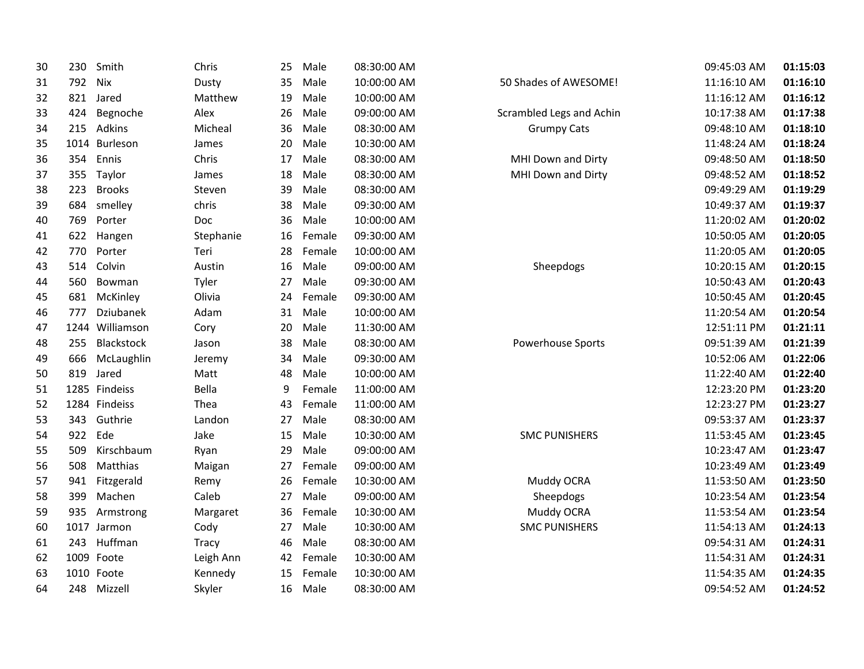| 30 | 230 | Smith           | Chris     | 25 | Male   | 08:30:00 AM |                          | 09:45:03 AM | 01:15:03 |
|----|-----|-----------------|-----------|----|--------|-------------|--------------------------|-------------|----------|
| 31 | 792 | Nix             | Dusty     | 35 | Male   | 10:00:00 AM | 50 Shades of AWESOME!    | 11:16:10 AM | 01:16:10 |
| 32 | 821 | Jared           | Matthew   | 19 | Male   | 10:00:00 AM |                          | 11:16:12 AM | 01:16:12 |
| 33 | 424 | Begnoche        | Alex      | 26 | Male   | 09:00:00 AM | Scrambled Legs and Achin | 10:17:38 AM | 01:17:38 |
| 34 | 215 | Adkins          | Micheal   | 36 | Male   | 08:30:00 AM | <b>Grumpy Cats</b>       | 09:48:10 AM | 01:18:10 |
| 35 |     | 1014 Burleson   | James     | 20 | Male   | 10:30:00 AM |                          | 11:48:24 AM | 01:18:24 |
| 36 | 354 | Ennis           | Chris     | 17 | Male   | 08:30:00 AM | MHI Down and Dirty       | 09:48:50 AM | 01:18:50 |
| 37 | 355 | Taylor          | James     | 18 | Male   | 08:30:00 AM | MHI Down and Dirty       | 09:48:52 AM | 01:18:52 |
| 38 | 223 | <b>Brooks</b>   | Steven    | 39 | Male   | 08:30:00 AM |                          | 09:49:29 AM | 01:19:29 |
| 39 | 684 | smelley         | chris     | 38 | Male   | 09:30:00 AM |                          | 10:49:37 AM | 01:19:37 |
| 40 | 769 | Porter          | Doc       | 36 | Male   | 10:00:00 AM |                          | 11:20:02 AM | 01:20:02 |
| 41 | 622 | Hangen          | Stephanie | 16 | Female | 09:30:00 AM |                          | 10:50:05 AM | 01:20:05 |
| 42 | 770 | Porter          | Teri      | 28 | Female | 10:00:00 AM |                          | 11:20:05 AM | 01:20:05 |
| 43 | 514 | Colvin          | Austin    | 16 | Male   | 09:00:00 AM | Sheepdogs                | 10:20:15 AM | 01:20:15 |
| 44 | 560 | Bowman          | Tyler     | 27 | Male   | 09:30:00 AM |                          | 10:50:43 AM | 01:20:43 |
| 45 | 681 | McKinley        | Olivia    | 24 | Female | 09:30:00 AM |                          | 10:50:45 AM | 01:20:45 |
| 46 | 777 | Dziubanek       | Adam      | 31 | Male   | 10:00:00 AM |                          | 11:20:54 AM | 01:20:54 |
| 47 |     | 1244 Williamson | Cory      | 20 | Male   | 11:30:00 AM |                          | 12:51:11 PM | 01:21:11 |
| 48 | 255 | Blackstock      | Jason     | 38 | Male   | 08:30:00 AM | Powerhouse Sports        | 09:51:39 AM | 01:21:39 |
| 49 | 666 | McLaughlin      | Jeremy    | 34 | Male   | 09:30:00 AM |                          | 10:52:06 AM | 01:22:06 |
| 50 | 819 | Jared           | Matt      | 48 | Male   | 10:00:00 AM |                          | 11:22:40 AM | 01:22:40 |
| 51 |     | 1285 Findeiss   | Bella     | 9  | Female | 11:00:00 AM |                          | 12:23:20 PM | 01:23:20 |
| 52 |     | 1284 Findeiss   | Thea      | 43 | Female | 11:00:00 AM |                          | 12:23:27 PM | 01:23:27 |
| 53 | 343 | Guthrie         | Landon    | 27 | Male   | 08:30:00 AM |                          | 09:53:37 AM | 01:23:37 |
| 54 | 922 | Ede             | Jake      | 15 | Male   | 10:30:00 AM | <b>SMC PUNISHERS</b>     | 11:53:45 AM | 01:23:45 |
| 55 | 509 | Kirschbaum      | Ryan      | 29 | Male   | 09:00:00 AM |                          | 10:23:47 AM | 01:23:47 |
| 56 | 508 | Matthias        | Maigan    | 27 | Female | 09:00:00 AM |                          | 10:23:49 AM | 01:23:49 |
| 57 | 941 | Fitzgerald      | Remy      | 26 | Female | 10:30:00 AM | Muddy OCRA               | 11:53:50 AM | 01:23:50 |
| 58 | 399 | Machen          | Caleb     | 27 | Male   | 09:00:00 AM | Sheepdogs                | 10:23:54 AM | 01:23:54 |
| 59 | 935 | Armstrong       | Margaret  | 36 | Female | 10:30:00 AM | Muddy OCRA               | 11:53:54 AM | 01:23:54 |
| 60 |     | 1017 Jarmon     | Cody      | 27 | Male   | 10:30:00 AM | <b>SMC PUNISHERS</b>     | 11:54:13 AM | 01:24:13 |
| 61 | 243 | Huffman         | Tracy     | 46 | Male   | 08:30:00 AM |                          | 09:54:31 AM | 01:24:31 |
| 62 |     | 1009 Foote      | Leigh Ann | 42 | Female | 10:30:00 AM |                          | 11:54:31 AM | 01:24:31 |
| 63 |     | 1010 Foote      | Kennedy   | 15 | Female | 10:30:00 AM |                          | 11:54:35 AM | 01:24:35 |
| 64 | 248 | Mizzell         | Skyler    | 16 | Male   | 08:30:00 AM |                          | 09:54:52 AM | 01:24:52 |
|    |     |                 |           |    |        |             |                          |             |          |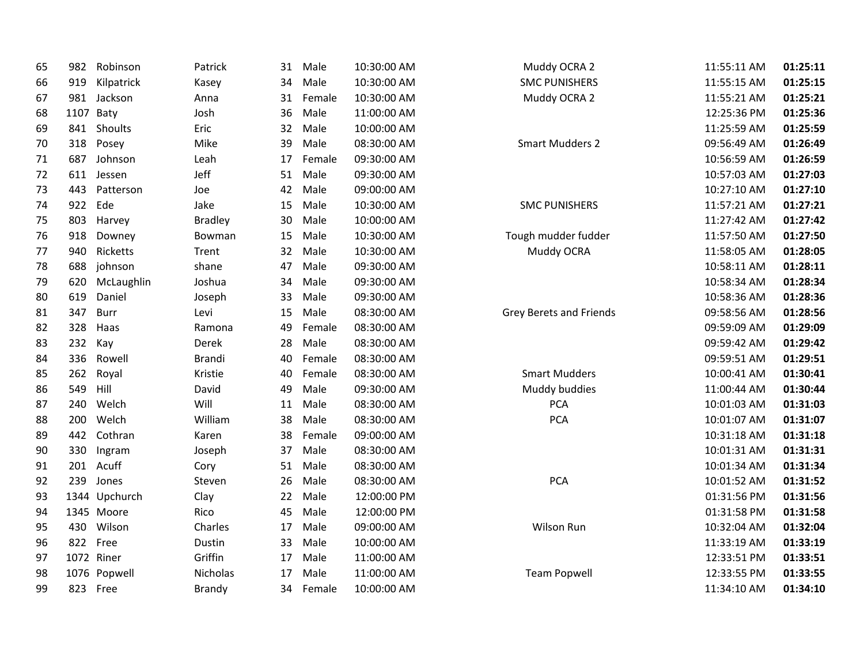| 65 | 982       | Robinson      | Patrick        | 31 | Male   | 10:30:00 AM | Muddy OCRA 2                   | 11:55:11 AM | 01:25:11 |
|----|-----------|---------------|----------------|----|--------|-------------|--------------------------------|-------------|----------|
| 66 | 919       | Kilpatrick    | Kasey          | 34 | Male   | 10:30:00 AM | <b>SMC PUNISHERS</b>           | 11:55:15 AM | 01:25:15 |
| 67 | 981       | Jackson       | Anna           | 31 | Female | 10:30:00 AM | Muddy OCRA 2                   | 11:55:21 AM | 01:25:21 |
| 68 | 1107 Baty |               | Josh           | 36 | Male   | 11:00:00 AM |                                | 12:25:36 PM | 01:25:36 |
| 69 | 841       | Shoults       | Eric           | 32 | Male   | 10:00:00 AM |                                | 11:25:59 AM | 01:25:59 |
| 70 | 318       | Posey         | Mike           | 39 | Male   | 08:30:00 AM | <b>Smart Mudders 2</b>         | 09:56:49 AM | 01:26:49 |
| 71 | 687       | Johnson       | Leah           | 17 | Female | 09:30:00 AM |                                | 10:56:59 AM | 01:26:59 |
| 72 | 611       | Jessen        | Jeff           | 51 | Male   | 09:30:00 AM |                                | 10:57:03 AM | 01:27:03 |
| 73 | 443       | Patterson     | Joe            | 42 | Male   | 09:00:00 AM |                                | 10:27:10 AM | 01:27:10 |
| 74 | 922       | Ede           | Jake           | 15 | Male   | 10:30:00 AM | <b>SMC PUNISHERS</b>           | 11:57:21 AM | 01:27:21 |
| 75 | 803       | Harvey        | <b>Bradley</b> | 30 | Male   | 10:00:00 AM |                                | 11:27:42 AM | 01:27:42 |
| 76 | 918       | Downey        | Bowman         | 15 | Male   | 10:30:00 AM | Tough mudder fudder            | 11:57:50 AM | 01:27:50 |
| 77 | 940       | Ricketts      | Trent          | 32 | Male   | 10:30:00 AM | Muddy OCRA                     | 11:58:05 AM | 01:28:05 |
| 78 | 688       | johnson       | shane          | 47 | Male   | 09:30:00 AM |                                | 10:58:11 AM | 01:28:11 |
| 79 | 620       | McLaughlin    | Joshua         | 34 | Male   | 09:30:00 AM |                                | 10:58:34 AM | 01:28:34 |
| 80 | 619       | Daniel        | Joseph         | 33 | Male   | 09:30:00 AM |                                | 10:58:36 AM | 01:28:36 |
| 81 | 347       | Burr          | Levi           | 15 | Male   | 08:30:00 AM | <b>Grey Berets and Friends</b> | 09:58:56 AM | 01:28:56 |
| 82 | 328       | Haas          | Ramona         | 49 | Female | 08:30:00 AM |                                | 09:59:09 AM | 01:29:09 |
| 83 | 232       | Kay           | Derek          | 28 | Male   | 08:30:00 AM |                                | 09:59:42 AM | 01:29:42 |
| 84 | 336       | Rowell        | <b>Brandi</b>  | 40 | Female | 08:30:00 AM |                                | 09:59:51 AM | 01:29:51 |
| 85 | 262       | Royal         | Kristie        | 40 | Female | 08:30:00 AM | <b>Smart Mudders</b>           | 10:00:41 AM | 01:30:41 |
| 86 | 549       | Hill          | David          | 49 | Male   | 09:30:00 AM | Muddy buddies                  | 11:00:44 AM | 01:30:44 |
| 87 | 240       | Welch         | Will           | 11 | Male   | 08:30:00 AM | <b>PCA</b>                     | 10:01:03 AM | 01:31:03 |
| 88 | 200       | Welch         | William        | 38 | Male   | 08:30:00 AM | <b>PCA</b>                     | 10:01:07 AM | 01:31:07 |
| 89 | 442       | Cothran       | Karen          | 38 | Female | 09:00:00 AM |                                | 10:31:18 AM | 01:31:18 |
| 90 | 330       | Ingram        | Joseph         | 37 | Male   | 08:30:00 AM |                                | 10:01:31 AM | 01:31:31 |
| 91 | 201       | Acuff         | Cory           | 51 | Male   | 08:30:00 AM |                                | 10:01:34 AM | 01:31:34 |
| 92 | 239       | Jones         | Steven         | 26 | Male   | 08:30:00 AM | <b>PCA</b>                     | 10:01:52 AM | 01:31:52 |
| 93 |           | 1344 Upchurch | Clay           | 22 | Male   | 12:00:00 PM |                                | 01:31:56 PM | 01:31:56 |
| 94 |           | 1345 Moore    | Rico           | 45 | Male   | 12:00:00 PM |                                | 01:31:58 PM | 01:31:58 |
| 95 | 430       | Wilson        | Charles        | 17 | Male   | 09:00:00 AM | Wilson Run                     | 10:32:04 AM | 01:32:04 |
| 96 | 822       | Free          | Dustin         | 33 | Male   | 10:00:00 AM |                                | 11:33:19 AM | 01:33:19 |
| 97 |           | 1072 Riner    | Griffin        | 17 | Male   | 11:00:00 AM |                                | 12:33:51 PM | 01:33:51 |
| 98 |           | 1076 Popwell  | Nicholas       | 17 | Male   | 11:00:00 AM | <b>Team Popwell</b>            | 12:33:55 PM | 01:33:55 |
| 99 |           | 823 Free      | Brandy         | 34 | Female | 10:00:00 AM |                                | 11:34:10 AM | 01:34:10 |
|    |           |               |                |    |        |             |                                |             |          |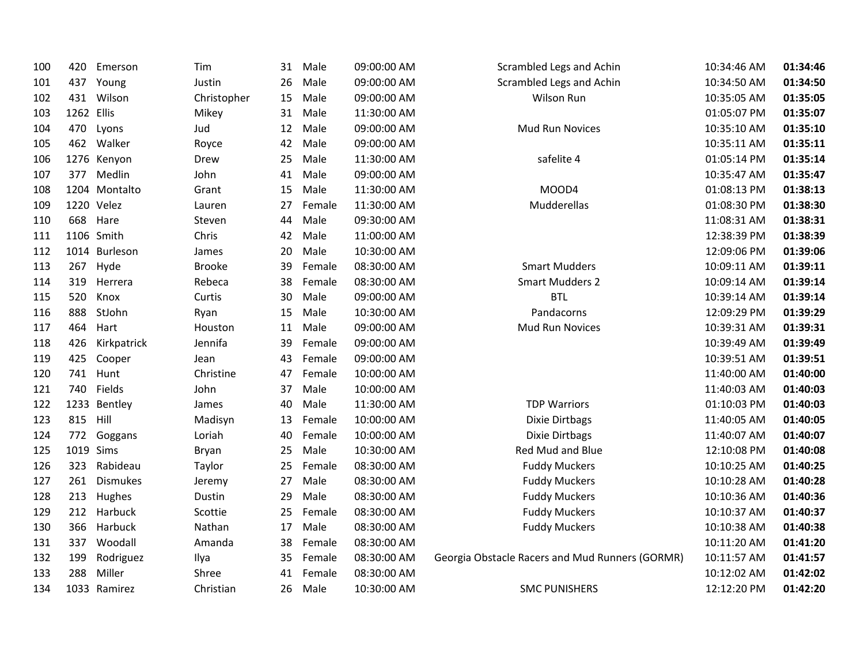| 100 | 420        | Emerson         | Tim           | 31 | Male   | 09:00:00 AM | Scrambled Legs and Achin                        | 10:34:46 AM | 01:34:46 |
|-----|------------|-----------------|---------------|----|--------|-------------|-------------------------------------------------|-------------|----------|
| 101 | 437        | Young           | Justin        | 26 | Male   | 09:00:00 AM | Scrambled Legs and Achin                        | 10:34:50 AM | 01:34:50 |
| 102 | 431        | Wilson          | Christopher   | 15 | Male   | 09:00:00 AM | Wilson Run                                      | 10:35:05 AM | 01:35:05 |
| 103 | 1262 Ellis |                 | Mikey         | 31 | Male   | 11:30:00 AM |                                                 | 01:05:07 PM | 01:35:07 |
| 104 | 470        | Lyons           | Jud           | 12 | Male   | 09:00:00 AM | <b>Mud Run Novices</b>                          | 10:35:10 AM | 01:35:10 |
| 105 | 462        | Walker          | Royce         | 42 | Male   | 09:00:00 AM |                                                 | 10:35:11 AM | 01:35:11 |
| 106 |            | 1276 Kenyon     | Drew          | 25 | Male   | 11:30:00 AM | safelite 4                                      | 01:05:14 PM | 01:35:14 |
| 107 | 377        | Medlin          | John          | 41 | Male   | 09:00:00 AM |                                                 | 10:35:47 AM | 01:35:47 |
| 108 |            | 1204 Montalto   | Grant         | 15 | Male   | 11:30:00 AM | MOOD4                                           | 01:08:13 PM | 01:38:13 |
| 109 |            | 1220 Velez      | Lauren        | 27 | Female | 11:30:00 AM | Mudderellas                                     | 01:08:30 PM | 01:38:30 |
| 110 | 668        | Hare            | Steven        | 44 | Male   | 09:30:00 AM |                                                 | 11:08:31 AM | 01:38:31 |
| 111 |            | 1106 Smith      | Chris         | 42 | Male   | 11:00:00 AM |                                                 | 12:38:39 PM | 01:38:39 |
| 112 |            | 1014 Burleson   | James         | 20 | Male   | 10:30:00 AM |                                                 | 12:09:06 PM | 01:39:06 |
| 113 | 267        | Hyde            | <b>Brooke</b> | 39 | Female | 08:30:00 AM | <b>Smart Mudders</b>                            | 10:09:11 AM | 01:39:11 |
| 114 | 319        | Herrera         | Rebeca        | 38 | Female | 08:30:00 AM | <b>Smart Mudders 2</b>                          | 10:09:14 AM | 01:39:14 |
| 115 | 520        | Knox            | Curtis        | 30 | Male   | 09:00:00 AM | <b>BTL</b>                                      | 10:39:14 AM | 01:39:14 |
| 116 | 888        | StJohn          | Ryan          | 15 | Male   | 10:30:00 AM | Pandacorns                                      | 12:09:29 PM | 01:39:29 |
| 117 | 464        | Hart            | Houston       | 11 | Male   | 09:00:00 AM | Mud Run Novices                                 | 10:39:31 AM | 01:39:31 |
| 118 | 426        | Kirkpatrick     | Jennifa       | 39 | Female | 09:00:00 AM |                                                 | 10:39:49 AM | 01:39:49 |
| 119 | 425        | Cooper          | Jean          | 43 | Female | 09:00:00 AM |                                                 | 10:39:51 AM | 01:39:51 |
| 120 | 741        | Hunt            | Christine     | 47 | Female | 10:00:00 AM |                                                 | 11:40:00 AM | 01:40:00 |
| 121 | 740        | Fields          | John          | 37 | Male   | 10:00:00 AM |                                                 | 11:40:03 AM | 01:40:03 |
| 122 |            | 1233 Bentley    | James         | 40 | Male   | 11:30:00 AM | <b>TDP Warriors</b>                             | 01:10:03 PM | 01:40:03 |
| 123 | 815        | Hill            | Madisyn       | 13 | Female | 10:00:00 AM | Dixie Dirtbags                                  | 11:40:05 AM | 01:40:05 |
| 124 | 772        | Goggans         | Loriah        | 40 | Female | 10:00:00 AM | Dixie Dirtbags                                  | 11:40:07 AM | 01:40:07 |
| 125 |            | 1019 Sims       | Bryan         | 25 | Male   | 10:30:00 AM | Red Mud and Blue                                | 12:10:08 PM | 01:40:08 |
| 126 | 323        | Rabideau        | Taylor        | 25 | Female | 08:30:00 AM | <b>Fuddy Muckers</b>                            | 10:10:25 AM | 01:40:25 |
| 127 | 261        | <b>Dismukes</b> | Jeremy        | 27 | Male   | 08:30:00 AM | <b>Fuddy Muckers</b>                            | 10:10:28 AM | 01:40:28 |
| 128 | 213        | Hughes          | Dustin        | 29 | Male   | 08:30:00 AM | <b>Fuddy Muckers</b>                            | 10:10:36 AM | 01:40:36 |
| 129 | 212        | Harbuck         | Scottie       | 25 | Female | 08:30:00 AM | <b>Fuddy Muckers</b>                            | 10:10:37 AM | 01:40:37 |
| 130 | 366        | Harbuck         | Nathan        | 17 | Male   | 08:30:00 AM | <b>Fuddy Muckers</b>                            | 10:10:38 AM | 01:40:38 |
| 131 | 337        | Woodall         | Amanda        | 38 | Female | 08:30:00 AM |                                                 | 10:11:20 AM | 01:41:20 |
| 132 | 199        | Rodriguez       | Ilya          | 35 | Female | 08:30:00 AM | Georgia Obstacle Racers and Mud Runners (GORMR) | 10:11:57 AM | 01:41:57 |
| 133 | 288        | Miller          | Shree         | 41 | Female | 08:30:00 AM |                                                 | 10:12:02 AM | 01:42:02 |
| 134 |            | 1033 Ramirez    | Christian     | 26 | Male   | 10:30:00 AM | <b>SMC PUNISHERS</b>                            | 12:12:20 PM | 01:42:20 |
|     |            |                 |               |    |        |             |                                                 |             |          |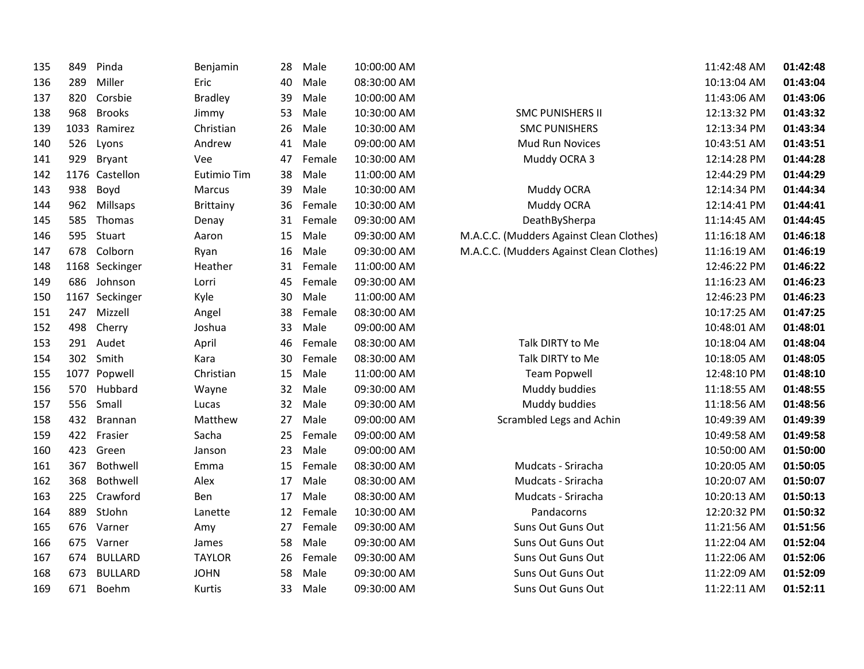| 135 | 849  | Pinda          | Benjamin         | 28 | Male   | 10:00:00 AM |   |
|-----|------|----------------|------------------|----|--------|-------------|---|
| 136 | 289  | Miller         | Eric             | 40 | Male   | 08:30:00 AM |   |
| 137 | 820  | Corsbie        | <b>Bradley</b>   | 39 | Male   | 10:00:00 AM |   |
| 138 | 968  | <b>Brooks</b>  | Jimmy            | 53 | Male   | 10:30:00 AM |   |
| 139 | 1033 | Ramirez        | Christian        | 26 | Male   | 10:30:00 AM |   |
| 140 | 526  | Lyons          | Andrew           | 41 | Male   | 09:00:00 AM |   |
| 141 | 929  | <b>Bryant</b>  | Vee              | 47 | Female | 10:30:00 AM |   |
| 142 | 1176 | Castellon      | Eutimio Tim      | 38 | Male   | 11:00:00 AM |   |
| 143 | 938  | Boyd           | Marcus           | 39 | Male   | 10:30:00 AM |   |
| 144 | 962  | Millsaps       | <b>Brittainy</b> | 36 | Female | 10:30:00 AM |   |
| 145 | 585  | Thomas         | Denay            | 31 | Female | 09:30:00 AM |   |
| 146 | 595  | Stuart         | Aaron            | 15 | Male   | 09:30:00 AM | ľ |
| 147 | 678  | Colborn        | Ryan             | 16 | Male   | 09:30:00 AM | ľ |
| 148 | 1168 | Seckinger      | Heather          | 31 | Female | 11:00:00 AM |   |
| 149 | 686  | Johnson        | Lorri            | 45 | Female | 09:30:00 AM |   |
| 150 | 1167 | Seckinger      | Kyle             | 30 | Male   | 11:00:00 AM |   |
| 151 | 247  | Mizzell        | Angel            | 38 | Female | 08:30:00 AM |   |
| 152 | 498  | Cherry         | Joshua           | 33 | Male   | 09:00:00 AM |   |
| 153 | 291  | Audet          | April            | 46 | Female | 08:30:00 AM |   |
| 154 | 302  | Smith          | Kara             | 30 | Female | 08:30:00 AM |   |
| 155 | 1077 | Popwell        | Christian        | 15 | Male   | 11:00:00 AM |   |
| 156 | 570  | Hubbard        | Wayne            | 32 | Male   | 09:30:00 AM |   |
| 157 | 556  | Small          | Lucas            | 32 | Male   | 09:30:00 AM |   |
| 158 | 432  | <b>Brannan</b> | Matthew          | 27 | Male   | 09:00:00 AM |   |
| 159 | 422  | Frasier        | Sacha            | 25 | Female | 09:00:00 AM |   |
| 160 | 423  | Green          | Janson           | 23 | Male   | 09:00:00 AM |   |
| 161 | 367  | Bothwell       | Emma             | 15 | Female | 08:30:00 AM |   |
| 162 | 368  | Bothwell       | Alex             | 17 | Male   | 08:30:00 AM |   |
| 163 | 225  | Crawford       | Ben              | 17 | Male   | 08:30:00 AM |   |
| 164 | 889  | StJohn         | Lanette          | 12 | Female | 10:30:00 AM |   |
| 165 | 676  | Varner         | Amy              | 27 | Female | 09:30:00 AM |   |
| 166 | 675  | Varner         | James            | 58 | Male   | 09:30:00 AM |   |
| 167 | 674  | <b>BULLARD</b> | <b>TAYLOR</b>    | 26 | Female | 09:30:00 AM |   |
| 168 | 673  | <b>BULLARD</b> | <b>JOHN</b>      | 58 | Male   | 09:30:00 AM |   |
| 169 | 671  | Boehm          | Kurtis           | 33 | Male   | 09:30:00 AM |   |
|     |      |                |                  |    |        |             |   |

| M |                                          | 11:42:48 AM | 01:42:48 |
|---|------------------------------------------|-------------|----------|
| M |                                          | 10:13:04 AM | 01:43:04 |
| M |                                          | 11:43:06 AM | 01:43:06 |
| M | <b>SMC PUNISHERS II</b>                  | 12:13:32 PM | 01:43:32 |
| M | <b>SMC PUNISHERS</b>                     | 12:13:34 PM | 01:43:34 |
| M | Mud Run Novices                          | 10:43:51 AM | 01:43:51 |
| M | Muddy OCRA 3                             | 12:14:28 PM | 01:44:28 |
| M |                                          | 12:44:29 PM | 01:44:29 |
| M | Muddy OCRA                               | 12:14:34 PM | 01:44:34 |
| M | Muddy OCRA                               | 12:14:41 PM | 01:44:41 |
| M | DeathBySherpa                            | 11:14:45 AM | 01:44:45 |
| M | M.A.C.C. (Mudders Against Clean Clothes) | 11:16:18 AM | 01:46:18 |
| M | M.A.C.C. (Mudders Against Clean Clothes) | 11:16:19 AM | 01:46:19 |
| M |                                          | 12:46:22 PM | 01:46:22 |
| M |                                          | 11:16:23 AM | 01:46:23 |
| M |                                          | 12:46:23 PM | 01:46:23 |
| M |                                          | 10:17:25 AM | 01:47:25 |
| M |                                          | 10:48:01 AM | 01:48:01 |
| M | Talk DIRTY to Me                         | 10:18:04 AM | 01:48:04 |
| M | Talk DIRTY to Me                         | 10:18:05 AM | 01:48:05 |
| M | <b>Team Popwell</b>                      | 12:48:10 PM | 01:48:10 |
| M | Muddy buddies                            | 11:18:55 AM | 01:48:55 |
| M | Muddy buddies                            | 11:18:56 AM | 01:48:56 |
| M | Scrambled Legs and Achin                 | 10:49:39 AM | 01:49:39 |
| M |                                          | 10:49:58 AM | 01:49:58 |
| M |                                          | 10:50:00 AM | 01:50:00 |
| M | Mudcats - Sriracha                       | 10:20:05 AM | 01:50:05 |
| M | Mudcats - Sriracha                       | 10:20:07 AM | 01:50:07 |
| M | Mudcats - Sriracha                       | 10:20:13 AM | 01:50:13 |
| M | Pandacorns                               | 12:20:32 PM | 01:50:32 |
| M | Suns Out Guns Out                        | 11:21:56 AM | 01:51:56 |
| M | Suns Out Guns Out                        | 11:22:04 AM | 01:52:04 |
| M | Suns Out Guns Out                        | 11:22:06 AM | 01:52:06 |
| M | Suns Out Guns Out                        | 11:22:09 AM | 01:52:09 |
| M | Suns Out Guns Out                        | 11:22:11 AM | 01:52:11 |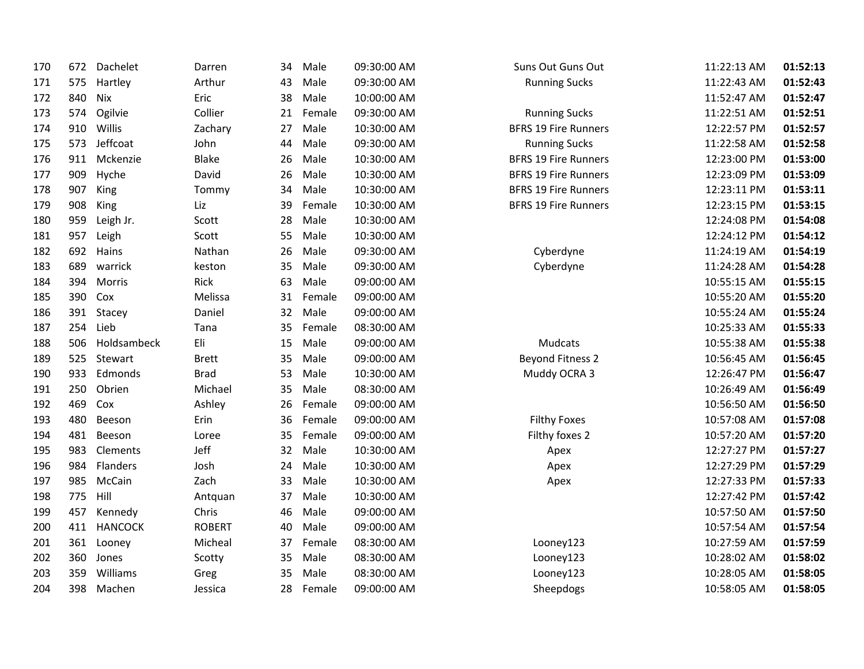| 170 | 672 | Dachelet       | Darren        | 34 | Male   | 09:30:00 AM | Suns Out Guns Out           | 11:22:13 AM | 01:52:13 |
|-----|-----|----------------|---------------|----|--------|-------------|-----------------------------|-------------|----------|
| 171 | 575 | Hartley        | Arthur        | 43 | Male   | 09:30:00 AM | <b>Running Sucks</b>        | 11:22:43 AM | 01:52:43 |
| 172 | 840 | <b>Nix</b>     | Eric          | 38 | Male   | 10:00:00 AM |                             | 11:52:47 AM | 01:52:47 |
| 173 | 574 | Ogilvie        | Collier       | 21 | Female | 09:30:00 AM | <b>Running Sucks</b>        | 11:22:51 AM | 01:52:51 |
| 174 | 910 | Willis         | Zachary       | 27 | Male   | 10:30:00 AM | <b>BFRS 19 Fire Runners</b> | 12:22:57 PM | 01:52:57 |
| 175 | 573 | Jeffcoat       | John          | 44 | Male   | 09:30:00 AM | <b>Running Sucks</b>        | 11:22:58 AM | 01:52:58 |
| 176 | 911 | Mckenzie       | Blake         | 26 | Male   | 10:30:00 AM | <b>BFRS 19 Fire Runners</b> | 12:23:00 PM | 01:53:00 |
| 177 | 909 | Hyche          | David         | 26 | Male   | 10:30:00 AM | <b>BFRS 19 Fire Runners</b> | 12:23:09 PM | 01:53:09 |
| 178 | 907 | King           | Tommy         | 34 | Male   | 10:30:00 AM | <b>BFRS 19 Fire Runners</b> | 12:23:11 PM | 01:53:11 |
| 179 | 908 | King           | Liz           | 39 | Female | 10:30:00 AM | <b>BFRS 19 Fire Runners</b> | 12:23:15 PM | 01:53:15 |
| 180 | 959 | Leigh Jr.      | Scott         | 28 | Male   | 10:30:00 AM |                             | 12:24:08 PM | 01:54:08 |
| 181 | 957 | Leigh          | Scott         | 55 | Male   | 10:30:00 AM |                             | 12:24:12 PM | 01:54:12 |
| 182 | 692 | Hains          | Nathan        | 26 | Male   | 09:30:00 AM | Cyberdyne                   | 11:24:19 AM | 01:54:19 |
| 183 | 689 | warrick        | keston        | 35 | Male   | 09:30:00 AM | Cyberdyne                   | 11:24:28 AM | 01:54:28 |
| 184 | 394 | Morris         | Rick          | 63 | Male   | 09:00:00 AM |                             | 10:55:15 AM | 01:55:15 |
| 185 | 390 | Cox            | Melissa       | 31 | Female | 09:00:00 AM |                             | 10:55:20 AM | 01:55:20 |
| 186 |     | 391 Stacey     | Daniel        | 32 | Male   | 09:00:00 AM |                             | 10:55:24 AM | 01:55:24 |
| 187 | 254 | Lieb           | Tana          | 35 | Female | 08:30:00 AM |                             | 10:25:33 AM | 01:55:33 |
| 188 | 506 | Holdsambeck    | Eli           | 15 | Male   | 09:00:00 AM | Mudcats                     | 10:55:38 AM | 01:55:38 |
| 189 | 525 | Stewart        | <b>Brett</b>  | 35 | Male   | 09:00:00 AM | <b>Beyond Fitness 2</b>     | 10:56:45 AM | 01:56:45 |
| 190 | 933 | Edmonds        | <b>Brad</b>   | 53 | Male   | 10:30:00 AM | Muddy OCRA 3                | 12:26:47 PM | 01:56:47 |
| 191 | 250 | Obrien         | Michael       | 35 | Male   | 08:30:00 AM |                             | 10:26:49 AM | 01:56:49 |
| 192 | 469 | Cox            | Ashley        | 26 | Female | 09:00:00 AM |                             | 10:56:50 AM | 01:56:50 |
| 193 | 480 | Beeson         | Erin          | 36 | Female | 09:00:00 AM | <b>Filthy Foxes</b>         | 10:57:08 AM | 01:57:08 |
| 194 | 481 | Beeson         | Loree         | 35 | Female | 09:00:00 AM | Filthy foxes 2              | 10:57:20 AM | 01:57:20 |
| 195 | 983 | Clements       | Jeff          | 32 | Male   | 10:30:00 AM | Apex                        | 12:27:27 PM | 01:57:27 |
| 196 | 984 | Flanders       | Josh          | 24 | Male   | 10:30:00 AM | Apex                        | 12:27:29 PM | 01:57:29 |
| 197 | 985 | McCain         | Zach          | 33 | Male   | 10:30:00 AM | Apex                        | 12:27:33 PM | 01:57:33 |
| 198 | 775 | Hill           | Antquan       | 37 | Male   | 10:30:00 AM |                             | 12:27:42 PM | 01:57:42 |
| 199 | 457 | Kennedy        | Chris         | 46 | Male   | 09:00:00 AM |                             | 10:57:50 AM | 01:57:50 |
| 200 | 411 | <b>HANCOCK</b> | <b>ROBERT</b> | 40 | Male   | 09:00:00 AM |                             | 10:57:54 AM | 01:57:54 |
| 201 | 361 | Looney         | Micheal       | 37 | Female | 08:30:00 AM | Looney123                   | 10:27:59 AM | 01:57:59 |
| 202 | 360 | Jones          | Scotty        | 35 | Male   | 08:30:00 AM | Looney123                   | 10:28:02 AM | 01:58:02 |
| 203 | 359 | Williams       | Greg          | 35 | Male   | 08:30:00 AM | Looney123                   | 10:28:05 AM | 01:58:05 |
| 204 | 398 | Machen         | Jessica       | 28 | Female | 09:00:00 AM | Sheepdogs                   | 10:58:05 AM | 01:58:05 |
|     |     |                |               |    |        |             |                             |             |          |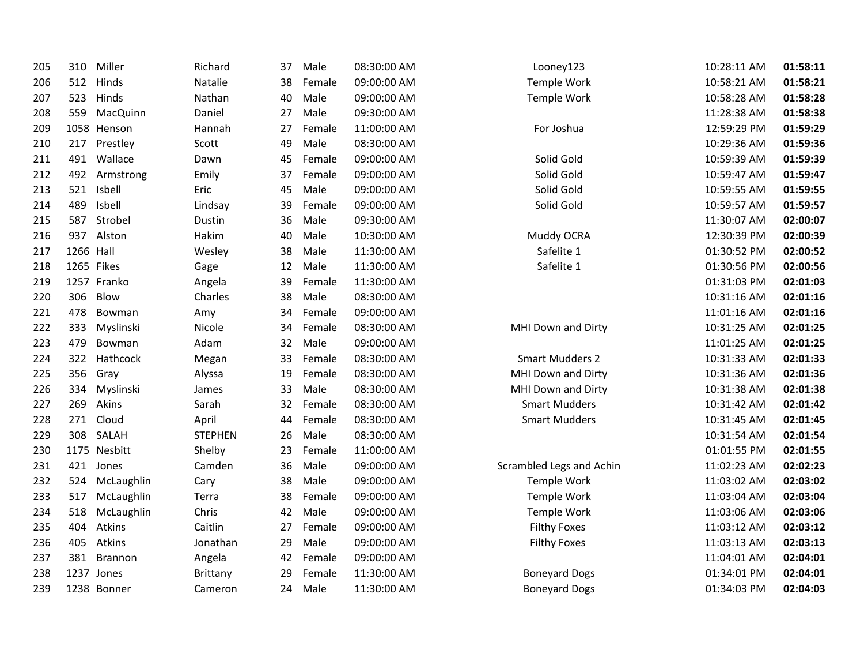| 205 | 310       | Miller       | Richard         | 37 | Male   | 08:30:00 AM | Looney123                | 10:28:11 AM | 01:58:11 |
|-----|-----------|--------------|-----------------|----|--------|-------------|--------------------------|-------------|----------|
| 206 | 512       | Hinds        | Natalie         | 38 | Female | 09:00:00 AM | Temple Work              | 10:58:21 AM | 01:58:21 |
| 207 | 523       | Hinds        | Nathan          | 40 | Male   | 09:00:00 AM | Temple Work              | 10:58:28 AM | 01:58:28 |
| 208 | 559       | MacQuinn     | Daniel          | 27 | Male   | 09:30:00 AM |                          | 11:28:38 AM | 01:58:38 |
| 209 |           | 1058 Henson  | Hannah          | 27 | Female | 11:00:00 AM | For Joshua               | 12:59:29 PM | 01:59:29 |
| 210 | 217       | Prestley     | Scott           | 49 | Male   | 08:30:00 AM |                          | 10:29:36 AM | 01:59:36 |
| 211 | 491       | Wallace      | Dawn            | 45 | Female | 09:00:00 AM | Solid Gold               | 10:59:39 AM | 01:59:39 |
| 212 | 492       | Armstrong    | Emily           | 37 | Female | 09:00:00 AM | Solid Gold               | 10:59:47 AM | 01:59:47 |
| 213 | 521       | Isbell       | Eric            | 45 | Male   | 09:00:00 AM | Solid Gold               | 10:59:55 AM | 01:59:55 |
| 214 | 489       | Isbell       | Lindsay         | 39 | Female | 09:00:00 AM | Solid Gold               | 10:59:57 AM | 01:59:57 |
| 215 | 587       | Strobel      | Dustin          | 36 | Male   | 09:30:00 AM |                          | 11:30:07 AM | 02:00:07 |
| 216 | 937       | Alston       | Hakim           | 40 | Male   | 10:30:00 AM | Muddy OCRA               | 12:30:39 PM | 02:00:39 |
| 217 | 1266 Hall |              | Wesley          | 38 | Male   | 11:30:00 AM | Safelite 1               | 01:30:52 PM | 02:00:52 |
| 218 |           | 1265 Fikes   | Gage            | 12 | Male   | 11:30:00 AM | Safelite 1               | 01:30:56 PM | 02:00:56 |
| 219 |           | 1257 Franko  | Angela          | 39 | Female | 11:30:00 AM |                          | 01:31:03 PM | 02:01:03 |
| 220 | 306       | Blow         | Charles         | 38 | Male   | 08:30:00 AM |                          | 10:31:16 AM | 02:01:16 |
| 221 | 478       | Bowman       | Amy             | 34 | Female | 09:00:00 AM |                          | 11:01:16 AM | 02:01:16 |
| 222 | 333       | Myslinski    | Nicole          | 34 | Female | 08:30:00 AM | MHI Down and Dirty       | 10:31:25 AM | 02:01:25 |
| 223 | 479       | Bowman       | Adam            | 32 | Male   | 09:00:00 AM |                          | 11:01:25 AM | 02:01:25 |
| 224 | 322       | Hathcock     | Megan           | 33 | Female | 08:30:00 AM | <b>Smart Mudders 2</b>   | 10:31:33 AM | 02:01:33 |
| 225 | 356       | Gray         | Alyssa          | 19 | Female | 08:30:00 AM | MHI Down and Dirty       | 10:31:36 AM | 02:01:36 |
| 226 | 334       | Myslinski    | James           | 33 | Male   | 08:30:00 AM | MHI Down and Dirty       | 10:31:38 AM | 02:01:38 |
| 227 | 269       | Akins        | Sarah           | 32 | Female | 08:30:00 AM | <b>Smart Mudders</b>     | 10:31:42 AM | 02:01:42 |
| 228 | 271       | Cloud        | April           | 44 | Female | 08:30:00 AM | <b>Smart Mudders</b>     | 10:31:45 AM | 02:01:45 |
| 229 | 308       | SALAH        | <b>STEPHEN</b>  | 26 | Male   | 08:30:00 AM |                          | 10:31:54 AM | 02:01:54 |
| 230 |           | 1175 Nesbitt | Shelby          | 23 | Female | 11:00:00 AM |                          | 01:01:55 PM | 02:01:55 |
| 231 | 421       | Jones        | Camden          | 36 | Male   | 09:00:00 AM | Scrambled Legs and Achin | 11:02:23 AM | 02:02:23 |
| 232 | 524       | McLaughlin   | Cary            | 38 | Male   | 09:00:00 AM | Temple Work              | 11:03:02 AM | 02:03:02 |
| 233 | 517       | McLaughlin   | Terra           | 38 | Female | 09:00:00 AM | Temple Work              | 11:03:04 AM | 02:03:04 |
| 234 | 518       | McLaughlin   | Chris           | 42 | Male   | 09:00:00 AM | Temple Work              | 11:03:06 AM | 02:03:06 |
| 235 | 404       | Atkins       | Caitlin         | 27 | Female | 09:00:00 AM | <b>Filthy Foxes</b>      | 11:03:12 AM | 02:03:12 |
| 236 | 405       | Atkins       | Jonathan        | 29 | Male   | 09:00:00 AM | <b>Filthy Foxes</b>      | 11:03:13 AM | 02:03:13 |
| 237 | 381       | Brannon      | Angela          | 42 | Female | 09:00:00 AM |                          | 11:04:01 AM | 02:04:01 |
| 238 |           | 1237 Jones   | <b>Brittany</b> | 29 | Female | 11:30:00 AM | <b>Boneyard Dogs</b>     | 01:34:01 PM | 02:04:01 |
| 239 |           | 1238 Bonner  | Cameron         | 24 | Male   | 11:30:00 AM | <b>Boneyard Dogs</b>     | 01:34:03 PM | 02:04:03 |
|     |           |              |                 |    |        |             |                          |             |          |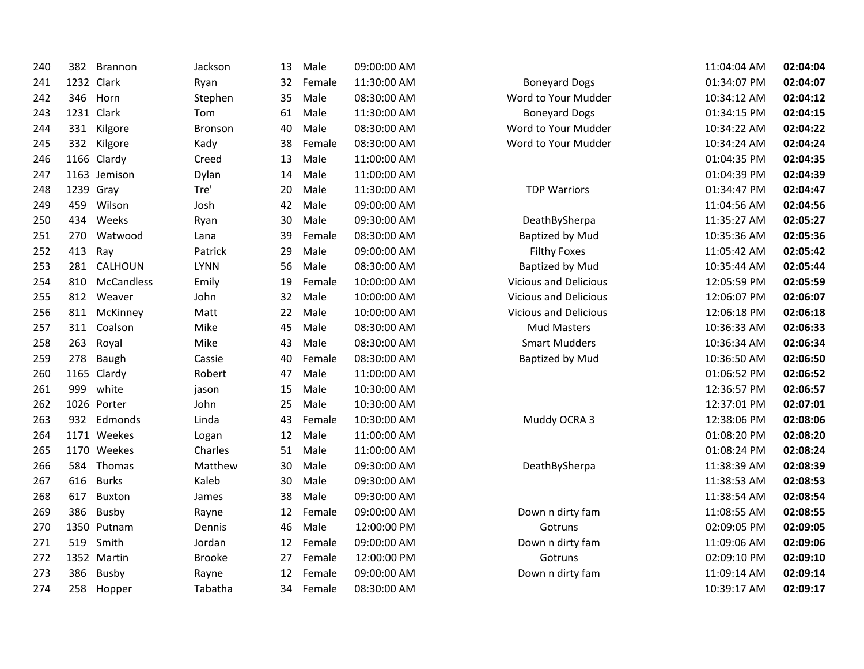| 240 | 382       | Brannon        | Jackson        | 13 | Male   | 09:00:00 AM |                              | 11:04:04 AM | 02:04:04 |
|-----|-----------|----------------|----------------|----|--------|-------------|------------------------------|-------------|----------|
| 241 |           | 1232 Clark     | Ryan           | 32 | Female | 11:30:00 AM | <b>Boneyard Dogs</b>         | 01:34:07 PM | 02:04:07 |
| 242 | 346       | Horn           | Stephen        | 35 | Male   | 08:30:00 AM | Word to Your Mudder          | 10:34:12 AM | 02:04:12 |
| 243 |           | 1231 Clark     | Tom            | 61 | Male   | 11:30:00 AM | <b>Boneyard Dogs</b>         | 01:34:15 PM | 02:04:15 |
| 244 | 331       | Kilgore        | <b>Bronson</b> | 40 | Male   | 08:30:00 AM | Word to Your Mudder          | 10:34:22 AM | 02:04:22 |
| 245 | 332       | Kilgore        | Kady           | 38 | Female | 08:30:00 AM | Word to Your Mudder          | 10:34:24 AM | 02:04:24 |
| 246 |           | 1166 Clardy    | Creed          | 13 | Male   | 11:00:00 AM |                              | 01:04:35 PM | 02:04:35 |
| 247 |           | 1163 Jemison   | Dylan          | 14 | Male   | 11:00:00 AM |                              | 01:04:39 PM | 02:04:39 |
| 248 | 1239 Gray |                | Tre'           | 20 | Male   | 11:30:00 AM | <b>TDP Warriors</b>          | 01:34:47 PM | 02:04:47 |
| 249 | 459       | Wilson         | Josh           | 42 | Male   | 09:00:00 AM |                              | 11:04:56 AM | 02:04:56 |
| 250 | 434       | Weeks          | Ryan           | 30 | Male   | 09:30:00 AM | DeathBySherpa                | 11:35:27 AM | 02:05:27 |
| 251 | 270       | Watwood        | Lana           | 39 | Female | 08:30:00 AM | Baptized by Mud              | 10:35:36 AM | 02:05:36 |
| 252 | 413       | Ray            | Patrick        | 29 | Male   | 09:00:00 AM | <b>Filthy Foxes</b>          | 11:05:42 AM | 02:05:42 |
| 253 | 281       | <b>CALHOUN</b> | <b>LYNN</b>    | 56 | Male   | 08:30:00 AM | <b>Baptized by Mud</b>       | 10:35:44 AM | 02:05:44 |
| 254 | 810       | McCandless     | Emily          | 19 | Female | 10:00:00 AM | <b>Vicious and Delicious</b> | 12:05:59 PM | 02:05:59 |
| 255 | 812       | Weaver         | John           | 32 | Male   | 10:00:00 AM | <b>Vicious and Delicious</b> | 12:06:07 PM | 02:06:07 |
| 256 | 811       | McKinney       | Matt           | 22 | Male   | 10:00:00 AM | <b>Vicious and Delicious</b> | 12:06:18 PM | 02:06:18 |
| 257 | 311       | Coalson        | Mike           | 45 | Male   | 08:30:00 AM | <b>Mud Masters</b>           | 10:36:33 AM | 02:06:33 |
| 258 | 263       | Royal          | Mike           | 43 | Male   | 08:30:00 AM | <b>Smart Mudders</b>         | 10:36:34 AM | 02:06:34 |
| 259 | 278       | Baugh          | Cassie         | 40 | Female | 08:30:00 AM | <b>Baptized by Mud</b>       | 10:36:50 AM | 02:06:50 |
| 260 |           | 1165 Clardy    | Robert         | 47 | Male   | 11:00:00 AM |                              | 01:06:52 PM | 02:06:52 |
| 261 | 999       | white          | jason          | 15 | Male   | 10:30:00 AM |                              | 12:36:57 PM | 02:06:57 |
| 262 |           | 1026 Porter    | John           | 25 | Male   | 10:30:00 AM |                              | 12:37:01 PM | 02:07:01 |
| 263 | 932       | Edmonds        | Linda          | 43 | Female | 10:30:00 AM | Muddy OCRA 3                 | 12:38:06 PM | 02:08:06 |
| 264 |           | 1171 Weekes    | Logan          | 12 | Male   | 11:00:00 AM |                              | 01:08:20 PM | 02:08:20 |
| 265 |           | 1170 Weekes    | Charles        | 51 | Male   | 11:00:00 AM |                              | 01:08:24 PM | 02:08:24 |
| 266 | 584       | Thomas         | Matthew        | 30 | Male   | 09:30:00 AM | DeathBySherpa                | 11:38:39 AM | 02:08:39 |
| 267 | 616       | <b>Burks</b>   | Kaleb          | 30 | Male   | 09:30:00 AM |                              | 11:38:53 AM | 02:08:53 |
| 268 | 617       | Buxton         | James          | 38 | Male   | 09:30:00 AM |                              | 11:38:54 AM | 02:08:54 |
| 269 | 386       | Busby          | Rayne          | 12 | Female | 09:00:00 AM | Down n dirty fam             | 11:08:55 AM | 02:08:55 |
| 270 |           | 1350 Putnam    | Dennis         | 46 | Male   | 12:00:00 PM | Gotruns                      | 02:09:05 PM | 02:09:05 |
| 271 | 519       | Smith          | Jordan         | 12 | Female | 09:00:00 AM | Down n dirty fam             | 11:09:06 AM | 02:09:06 |
| 272 |           | 1352 Martin    | <b>Brooke</b>  | 27 | Female | 12:00:00 PM | Gotruns                      | 02:09:10 PM | 02:09:10 |
| 273 | 386       | Busby          | Rayne          | 12 | Female | 09:00:00 AM | Down n dirty fam             | 11:09:14 AM | 02:09:14 |
| 274 | 258       | Hopper         | Tabatha        | 34 | Female | 08:30:00 AM |                              | 10:39:17 AM | 02:09:17 |
|     |           |                |                |    |        |             |                              |             |          |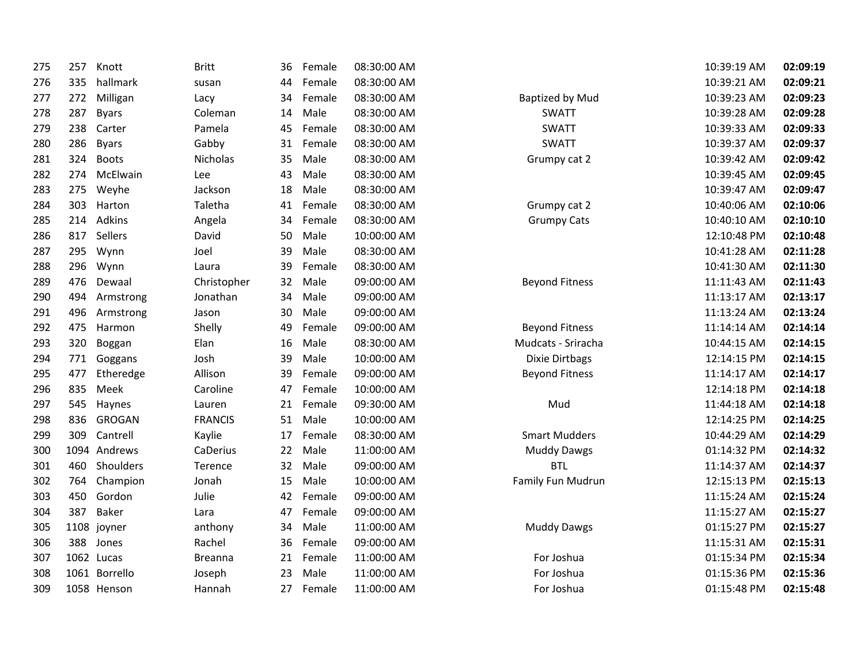| 275 | 257 | Knott         | <b>Britt</b>   | 36 | Female | 08:30:00 AM |                        | 10:39:19 AM | 02:09:19 |
|-----|-----|---------------|----------------|----|--------|-------------|------------------------|-------------|----------|
| 276 | 335 | hallmark      | susan          | 44 | Female | 08:30:00 AM |                        | 10:39:21 AM | 02:09:21 |
| 277 | 272 | Milligan      | Lacy           | 34 | Female | 08:30:00 AM | <b>Baptized by Mud</b> | 10:39:23 AM | 02:09:23 |
| 278 | 287 | <b>Byars</b>  | Coleman        | 14 | Male   | 08:30:00 AM | <b>SWATT</b>           | 10:39:28 AM | 02:09:28 |
| 279 | 238 | Carter        | Pamela         | 45 | Female | 08:30:00 AM | <b>SWATT</b>           | 10:39:33 AM | 02:09:33 |
| 280 | 286 | <b>Byars</b>  | Gabby          | 31 | Female | 08:30:00 AM | <b>SWATT</b>           | 10:39:37 AM | 02:09:37 |
| 281 | 324 | <b>Boots</b>  | Nicholas       | 35 | Male   | 08:30:00 AM | Grumpy cat 2           | 10:39:42 AM | 02:09:42 |
| 282 | 274 | McElwain      | Lee            | 43 | Male   | 08:30:00 AM |                        | 10:39:45 AM | 02:09:45 |
| 283 | 275 | Weyhe         | Jackson        | 18 | Male   | 08:30:00 AM |                        | 10:39:47 AM | 02:09:47 |
| 284 | 303 | Harton        | Taletha        | 41 | Female | 08:30:00 AM | Grumpy cat 2           | 10:40:06 AM | 02:10:06 |
| 285 | 214 | Adkins        | Angela         | 34 | Female | 08:30:00 AM | <b>Grumpy Cats</b>     | 10:40:10 AM | 02:10:10 |
| 286 | 817 | Sellers       | David          | 50 | Male   | 10:00:00 AM |                        | 12:10:48 PM | 02:10:48 |
| 287 | 295 | Wynn          | Joel           | 39 | Male   | 08:30:00 AM |                        | 10:41:28 AM | 02:11:28 |
| 288 | 296 | Wynn          | Laura          | 39 | Female | 08:30:00 AM |                        | 10:41:30 AM | 02:11:30 |
| 289 | 476 | Dewaal        | Christopher    | 32 | Male   | 09:00:00 AM | <b>Beyond Fitness</b>  | 11:11:43 AM | 02:11:43 |
| 290 | 494 | Armstrong     | Jonathan       | 34 | Male   | 09:00:00 AM |                        | 11:13:17 AM | 02:13:17 |
| 291 | 496 | Armstrong     | Jason          | 30 | Male   | 09:00:00 AM |                        | 11:13:24 AM | 02:13:24 |
| 292 | 475 | Harmon        | Shelly         | 49 | Female | 09:00:00 AM | <b>Beyond Fitness</b>  | 11:14:14 AM | 02:14:14 |
| 293 | 320 | Boggan        | Elan           | 16 | Male   | 08:30:00 AM | Mudcats - Sriracha     | 10:44:15 AM | 02:14:15 |
| 294 | 771 | Goggans       | Josh           | 39 | Male   | 10:00:00 AM | Dixie Dirtbags         | 12:14:15 PM | 02:14:15 |
| 295 | 477 | Etheredge     | Allison        | 39 | Female | 09:00:00 AM | <b>Beyond Fitness</b>  | 11:14:17 AM | 02:14:17 |
| 296 | 835 | Meek          | Caroline       | 47 | Female | 10:00:00 AM |                        | 12:14:18 PM | 02:14:18 |
| 297 | 545 | Haynes        | Lauren         | 21 | Female | 09:30:00 AM | Mud                    | 11:44:18 AM | 02:14:18 |
| 298 | 836 | <b>GROGAN</b> | <b>FRANCIS</b> | 51 | Male   | 10:00:00 AM |                        | 12:14:25 PM | 02:14:25 |
| 299 | 309 | Cantrell      | Kaylie         | 17 | Female | 08:30:00 AM | <b>Smart Mudders</b>   | 10:44:29 AM | 02:14:29 |
| 300 |     | 1094 Andrews  | CaDerius       | 22 | Male   | 11:00:00 AM | <b>Muddy Dawgs</b>     | 01:14:32 PM | 02:14:32 |
| 301 | 460 | Shoulders     | Terence        | 32 | Male   | 09:00:00 AM | <b>BTL</b>             | 11:14:37 AM | 02:14:37 |
| 302 | 764 | Champion      | Jonah          | 15 | Male   | 10:00:00 AM | Family Fun Mudrun      | 12:15:13 PM | 02:15:13 |
| 303 | 450 | Gordon        | Julie          | 42 | Female | 09:00:00 AM |                        | 11:15:24 AM | 02:15:24 |
| 304 | 387 | Baker         | Lara           | 47 | Female | 09:00:00 AM |                        | 11:15:27 AM | 02:15:27 |
| 305 |     | 1108 joyner   | anthony        | 34 | Male   | 11:00:00 AM | <b>Muddy Dawgs</b>     | 01:15:27 PM | 02:15:27 |
| 306 | 388 | Jones         | Rachel         | 36 | Female | 09:00:00 AM |                        | 11:15:31 AM | 02:15:31 |
| 307 |     | 1062 Lucas    | Breanna        | 21 | Female | 11:00:00 AM | For Joshua             | 01:15:34 PM | 02:15:34 |
| 308 |     | 1061 Borrello | Joseph         | 23 | Male   | 11:00:00 AM | For Joshua             | 01:15:36 PM | 02:15:36 |
| 309 |     | 1058 Henson   | Hannah         | 27 | Female | 11:00:00 AM | For Joshua             | 01:15:48 PM | 02:15:48 |
|     |     |               |                |    |        |             |                        |             |          |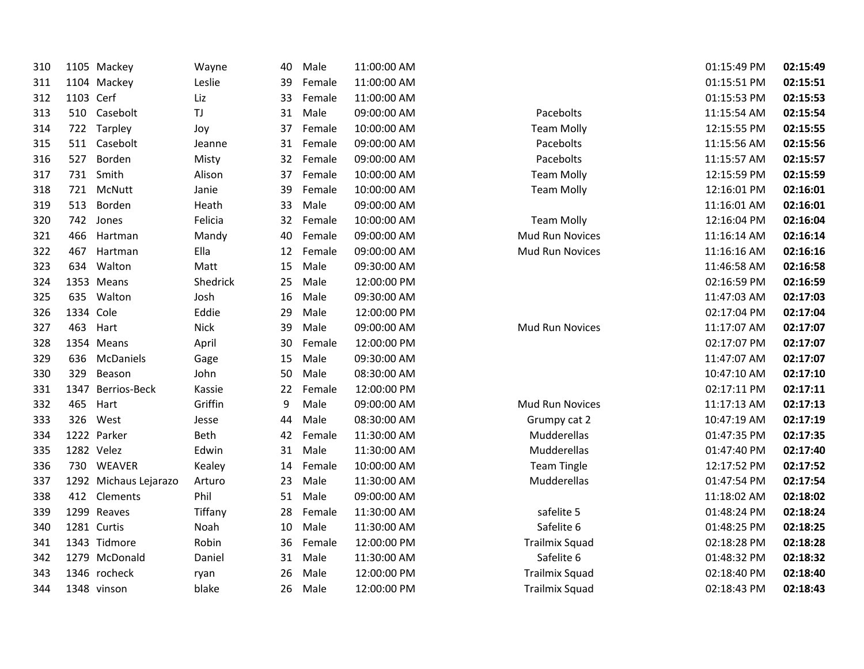| 310 |           | 1105 Mackey           | Wayne    | 40 | Male   | 11:00:00 AM |                       | 01:15:49 PM | 02:15:49 |
|-----|-----------|-----------------------|----------|----|--------|-------------|-----------------------|-------------|----------|
| 311 |           | 1104 Mackey           | Leslie   | 39 | Female | 11:00:00 AM |                       | 01:15:51 PM | 02:15:51 |
| 312 | 1103 Cerf |                       | Liz      | 33 | Female | 11:00:00 AM |                       | 01:15:53 PM | 02:15:53 |
| 313 |           | 510 Casebolt          | TJ       | 31 | Male   | 09:00:00 AM | Pacebolts             | 11:15:54 AM | 02:15:54 |
| 314 | 722       | Tarpley               | Joy      | 37 | Female | 10:00:00 AM | <b>Team Molly</b>     | 12:15:55 PM | 02:15:55 |
| 315 |           | 511 Casebolt          | Jeanne   | 31 | Female | 09:00:00 AM | Pacebolts             | 11:15:56 AM | 02:15:56 |
| 316 | 527       | Borden                | Misty    | 32 | Female | 09:00:00 AM | Pacebolts             | 11:15:57 AM | 02:15:57 |
| 317 |           | 731 Smith             | Alison   | 37 | Female | 10:00:00 AM | <b>Team Molly</b>     | 12:15:59 PM | 02:15:59 |
| 318 | 721       | McNutt                | Janie    | 39 | Female | 10:00:00 AM | <b>Team Molly</b>     | 12:16:01 PM | 02:16:01 |
| 319 | 513       | Borden                | Heath    | 33 | Male   | 09:00:00 AM |                       | 11:16:01 AM | 02:16:01 |
| 320 | 742       | Jones                 | Felicia  | 32 | Female | 10:00:00 AM | <b>Team Molly</b>     | 12:16:04 PM | 02:16:04 |
| 321 | 466       | Hartman               | Mandy    | 40 | Female | 09:00:00 AM | Mud Run Novices       | 11:16:14 AM | 02:16:14 |
| 322 | 467       | Hartman               | Ella     | 12 | Female | 09:00:00 AM | Mud Run Novices       | 11:16:16 AM | 02:16:16 |
| 323 | 634       | Walton                | Matt     | 15 | Male   | 09:30:00 AM |                       | 11:46:58 AM | 02:16:58 |
| 324 |           | 1353 Means            | Shedrick | 25 | Male   | 12:00:00 PM |                       | 02:16:59 PM | 02:16:59 |
| 325 | 635       | Walton                | Josh     | 16 | Male   | 09:30:00 AM |                       | 11:47:03 AM | 02:17:03 |
| 326 | 1334 Cole |                       | Eddie    | 29 | Male   | 12:00:00 PM |                       | 02:17:04 PM | 02:17:04 |
| 327 | 463       | Hart                  | Nick     | 39 | Male   | 09:00:00 AM | Mud Run Novices       | 11:17:07 AM | 02:17:07 |
| 328 |           | 1354 Means            | April    | 30 | Female | 12:00:00 PM |                       | 02:17:07 PM | 02:17:07 |
| 329 | 636       | McDaniels             | Gage     | 15 | Male   | 09:30:00 AM |                       | 11:47:07 AM | 02:17:07 |
| 330 | 329       | Beason                | John     | 50 | Male   | 08:30:00 AM |                       | 10:47:10 AM | 02:17:10 |
| 331 |           | 1347 Berrios-Beck     | Kassie   | 22 | Female | 12:00:00 PM |                       | 02:17:11 PM | 02:17:11 |
| 332 | 465       | Hart                  | Griffin  | 9  | Male   | 09:00:00 AM | Mud Run Novices       | 11:17:13 AM | 02:17:13 |
| 333 | 326       | West                  | Jesse    | 44 | Male   | 08:30:00 AM | Grumpy cat 2          | 10:47:19 AM | 02:17:19 |
| 334 |           | 1222 Parker           | Beth     | 42 | Female | 11:30:00 AM | Mudderellas           | 01:47:35 PM | 02:17:35 |
| 335 |           | 1282 Velez            | Edwin    | 31 | Male   | 11:30:00 AM | Mudderellas           | 01:47:40 PM | 02:17:40 |
| 336 | 730       | <b>WEAVER</b>         | Kealey   | 14 | Female | 10:00:00 AM | <b>Team Tingle</b>    | 12:17:52 PM | 02:17:52 |
| 337 |           | 1292 Michaus Lejarazo | Arturo   | 23 | Male   | 11:30:00 AM | Mudderellas           | 01:47:54 PM | 02:17:54 |
| 338 | 412       | Clements              | Phil     | 51 | Male   | 09:00:00 AM |                       | 11:18:02 AM | 02:18:02 |
| 339 |           | 1299 Reaves           | Tiffany  | 28 | Female | 11:30:00 AM | safelite 5            | 01:48:24 PM | 02:18:24 |
| 340 |           | 1281 Curtis           | Noah     | 10 | Male   | 11:30:00 AM | Safelite 6            | 01:48:25 PM | 02:18:25 |
| 341 |           | 1343 Tidmore          | Robin    | 36 | Female | 12:00:00 PM | <b>Trailmix Squad</b> | 02:18:28 PM | 02:18:28 |
| 342 |           | 1279 McDonald         | Daniel   | 31 | Male   | 11:30:00 AM | Safelite 6            | 01:48:32 PM | 02:18:32 |
| 343 |           | 1346 rocheck          | ryan     | 26 | Male   | 12:00:00 PM | <b>Trailmix Squad</b> | 02:18:40 PM | 02:18:40 |
| 344 |           | 1348 vinson           | blake    | 26 | Male   | 12:00:00 PM | <b>Trailmix Squad</b> | 02:18:43 PM | 02:18:43 |
|     |           |                       |          |    |        |             |                       |             |          |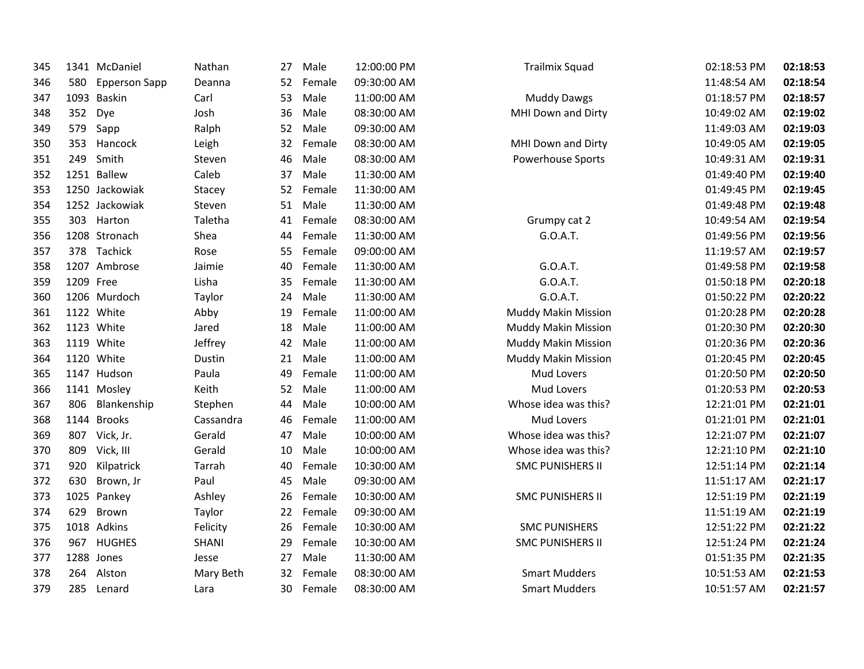| 345 |           | 1341 McDaniel        | Nathan    | 27 | Male   | 12:00:00 PM | <b>Trailmix Squad</b>      | 02:18:53 PM | 02:18:53 |
|-----|-----------|----------------------|-----------|----|--------|-------------|----------------------------|-------------|----------|
| 346 | 580       | <b>Epperson Sapp</b> | Deanna    | 52 | Female | 09:30:00 AM |                            | 11:48:54 AM | 02:18:54 |
| 347 |           | 1093 Baskin          | Carl      | 53 | Male   | 11:00:00 AM | <b>Muddy Dawgs</b>         | 01:18:57 PM | 02:18:57 |
| 348 | 352       | Dye                  | Josh      | 36 | Male   | 08:30:00 AM | MHI Down and Dirty         | 10:49:02 AM | 02:19:02 |
| 349 | 579       | Sapp                 | Ralph     | 52 | Male   | 09:30:00 AM |                            | 11:49:03 AM | 02:19:03 |
| 350 | 353       | Hancock              | Leigh     | 32 | Female | 08:30:00 AM | MHI Down and Dirty         | 10:49:05 AM | 02:19:05 |
| 351 | 249       | Smith                | Steven    | 46 | Male   | 08:30:00 AM | Powerhouse Sports          | 10:49:31 AM | 02:19:31 |
| 352 |           | 1251 Ballew          | Caleb     | 37 | Male   | 11:30:00 AM |                            | 01:49:40 PM | 02:19:40 |
| 353 |           | 1250 Jackowiak       | Stacey    | 52 | Female | 11:30:00 AM |                            | 01:49:45 PM | 02:19:45 |
| 354 |           | 1252 Jackowiak       | Steven    | 51 | Male   | 11:30:00 AM |                            | 01:49:48 PM | 02:19:48 |
| 355 | 303       | Harton               | Taletha   | 41 | Female | 08:30:00 AM | Grumpy cat 2               | 10:49:54 AM | 02:19:54 |
| 356 |           | 1208 Stronach        | Shea      | 44 | Female | 11:30:00 AM | G.O.A.T.                   | 01:49:56 PM | 02:19:56 |
| 357 |           | 378 Tachick          | Rose      | 55 | Female | 09:00:00 AM |                            | 11:19:57 AM | 02:19:57 |
| 358 |           | 1207 Ambrose         | Jaimie    | 40 | Female | 11:30:00 AM | G.O.A.T.                   | 01:49:58 PM | 02:19:58 |
| 359 | 1209 Free |                      | Lisha     | 35 | Female | 11:30:00 AM | G.O.A.T.                   | 01:50:18 PM | 02:20:18 |
| 360 |           | 1206 Murdoch         | Taylor    | 24 | Male   | 11:30:00 AM | G.O.A.T.                   | 01:50:22 PM | 02:20:22 |
| 361 |           | 1122 White           | Abby      | 19 | Female | 11:00:00 AM | <b>Muddy Makin Mission</b> | 01:20:28 PM | 02:20:28 |
| 362 |           | 1123 White           | Jared     | 18 | Male   | 11:00:00 AM | <b>Muddy Makin Mission</b> | 01:20:30 PM | 02:20:30 |
| 363 |           | 1119 White           | Jeffrey   | 42 | Male   | 11:00:00 AM | <b>Muddy Makin Mission</b> | 01:20:36 PM | 02:20:36 |
| 364 |           | 1120 White           | Dustin    | 21 | Male   | 11:00:00 AM | <b>Muddy Makin Mission</b> | 01:20:45 PM | 02:20:45 |
| 365 |           | 1147 Hudson          | Paula     | 49 | Female | 11:00:00 AM | Mud Lovers                 | 01:20:50 PM | 02:20:50 |
| 366 |           | 1141 Mosley          | Keith     | 52 | Male   | 11:00:00 AM | Mud Lovers                 | 01:20:53 PM | 02:20:53 |
| 367 | 806       | Blankenship          | Stephen   | 44 | Male   | 10:00:00 AM | Whose idea was this?       | 12:21:01 PM | 02:21:01 |
| 368 |           | 1144 Brooks          | Cassandra | 46 | Female | 11:00:00 AM | Mud Lovers                 | 01:21:01 PM | 02:21:01 |
| 369 |           | 807 Vick, Jr.        | Gerald    | 47 | Male   | 10:00:00 AM | Whose idea was this?       | 12:21:07 PM | 02:21:07 |
| 370 | 809       | Vick, III            | Gerald    | 10 | Male   | 10:00:00 AM | Whose idea was this?       | 12:21:10 PM | 02:21:10 |
| 371 | 920       | Kilpatrick           | Tarrah    | 40 | Female | 10:30:00 AM | <b>SMC PUNISHERS II</b>    | 12:51:14 PM | 02:21:14 |
| 372 | 630       | Brown, Jr            | Paul      | 45 | Male   | 09:30:00 AM |                            | 11:51:17 AM | 02:21:17 |
| 373 |           | 1025 Pankey          | Ashley    | 26 | Female | 10:30:00 AM | <b>SMC PUNISHERS II</b>    | 12:51:19 PM | 02:21:19 |
| 374 | 629       | Brown                | Taylor    | 22 | Female | 09:30:00 AM |                            | 11:51:19 AM | 02:21:19 |
| 375 |           | 1018 Adkins          | Felicity  | 26 | Female | 10:30:00 AM | <b>SMC PUNISHERS</b>       | 12:51:22 PM | 02:21:22 |
| 376 | 967       | <b>HUGHES</b>        | SHANI     | 29 | Female | 10:30:00 AM | <b>SMC PUNISHERS II</b>    | 12:51:24 PM | 02:21:24 |
| 377 |           | 1288 Jones           | Jesse     | 27 | Male   | 11:30:00 AM |                            | 01:51:35 PM | 02:21:35 |
| 378 | 264       | Alston               | Mary Beth | 32 | Female | 08:30:00 AM | <b>Smart Mudders</b>       | 10:51:53 AM | 02:21:53 |
| 379 | 285       | Lenard               | Lara      | 30 | Female | 08:30:00 AM | <b>Smart Mudders</b>       | 10:51:57 AM | 02:21:57 |
|     |           |                      |           |    |        |             |                            |             |          |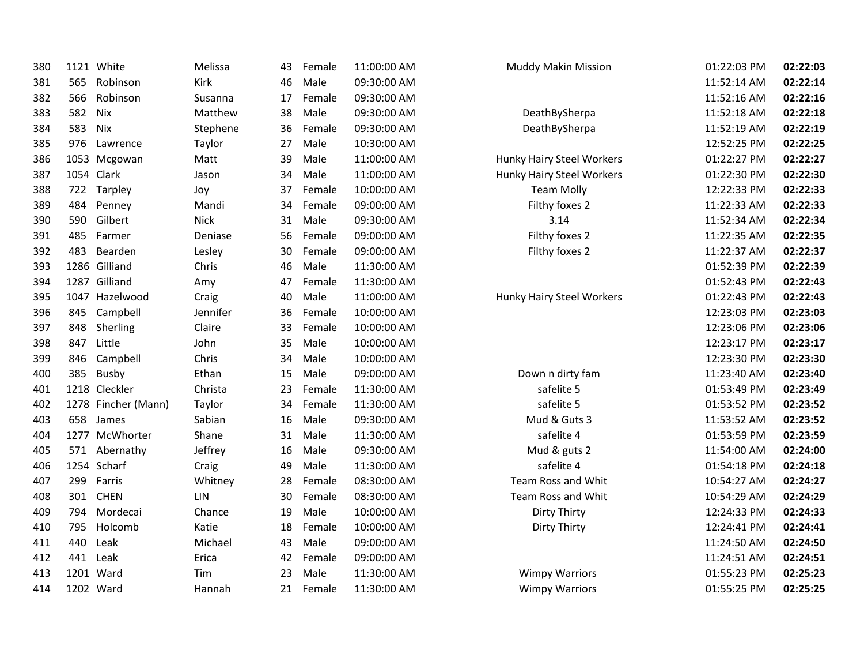| 380 |     | 1121 White          | Melissa     | 43 | Female | 11:00:00 AM | Muddy Makin Mission       | 01:22:03 PM | 02:22:03 |
|-----|-----|---------------------|-------------|----|--------|-------------|---------------------------|-------------|----------|
| 381 | 565 | Robinson            | Kirk        | 46 | Male   | 09:30:00 AM |                           | 11:52:14 AM | 02:22:14 |
| 382 | 566 | Robinson            | Susanna     | 17 | Female | 09:30:00 AM |                           | 11:52:16 AM | 02:22:16 |
| 383 | 582 | Nix                 | Matthew     | 38 | Male   | 09:30:00 AM | DeathBySherpa             | 11:52:18 AM | 02:22:18 |
| 384 | 583 | Nix                 | Stephene    | 36 | Female | 09:30:00 AM | DeathBySherpa             | 11:52:19 AM | 02:22:19 |
| 385 | 976 | Lawrence            | Taylor      | 27 | Male   | 10:30:00 AM |                           | 12:52:25 PM | 02:22:25 |
| 386 |     | 1053 Mcgowan        | Matt        | 39 | Male   | 11:00:00 AM | Hunky Hairy Steel Workers | 01:22:27 PM | 02:22:27 |
| 387 |     | 1054 Clark          | Jason       | 34 | Male   | 11:00:00 AM | Hunky Hairy Steel Workers | 01:22:30 PM | 02:22:30 |
| 388 |     | 722 Tarpley         | Joy         | 37 | Female | 10:00:00 AM | <b>Team Molly</b>         | 12:22:33 PM | 02:22:33 |
| 389 | 484 | Penney              | Mandi       | 34 | Female | 09:00:00 AM | Filthy foxes 2            | 11:22:33 AM | 02:22:33 |
| 390 | 590 | Gilbert             | <b>Nick</b> | 31 | Male   | 09:30:00 AM | 3.14                      | 11:52:34 AM | 02:22:34 |
| 391 | 485 | Farmer              | Deniase     | 56 | Female | 09:00:00 AM | Filthy foxes 2            | 11:22:35 AM | 02:22:35 |
| 392 | 483 | Bearden             | Lesley      | 30 | Female | 09:00:00 AM | Filthy foxes 2            | 11:22:37 AM | 02:22:37 |
| 393 |     | 1286 Gilliand       | Chris       | 46 | Male   | 11:30:00 AM |                           | 01:52:39 PM | 02:22:39 |
| 394 |     | 1287 Gilliand       | Amy         | 47 | Female | 11:30:00 AM |                           | 01:52:43 PM | 02:22:43 |
| 395 |     | 1047 Hazelwood      | Craig       | 40 | Male   | 11:00:00 AM | Hunky Hairy Steel Workers | 01:22:43 PM | 02:22:43 |
| 396 | 845 | Campbell            | Jennifer    | 36 | Female | 10:00:00 AM |                           | 12:23:03 PM | 02:23:03 |
| 397 | 848 | Sherling            | Claire      | 33 | Female | 10:00:00 AM |                           | 12:23:06 PM | 02:23:06 |
| 398 | 847 | Little              | John        | 35 | Male   | 10:00:00 AM |                           | 12:23:17 PM | 02:23:17 |
| 399 | 846 | Campbell            | Chris       | 34 | Male   | 10:00:00 AM |                           | 12:23:30 PM | 02:23:30 |
| 400 | 385 | Busby               | Ethan       | 15 | Male   | 09:00:00 AM | Down n dirty fam          | 11:23:40 AM | 02:23:40 |
| 401 |     | 1218 Cleckler       | Christa     | 23 | Female | 11:30:00 AM | safelite 5                | 01:53:49 PM | 02:23:49 |
| 402 |     | 1278 Fincher (Mann) | Taylor      | 34 | Female | 11:30:00 AM | safelite 5                | 01:53:52 PM | 02:23:52 |
| 403 |     | 658 James           | Sabian      | 16 | Male   | 09:30:00 AM | Mud & Guts 3              | 11:53:52 AM | 02:23:52 |
| 404 |     | 1277 McWhorter      | Shane       | 31 | Male   | 11:30:00 AM | safelite 4                | 01:53:59 PM | 02:23:59 |
| 405 |     | 571 Abernathy       | Jeffrey     | 16 | Male   | 09:30:00 AM | Mud & guts 2              | 11:54:00 AM | 02:24:00 |
| 406 |     | 1254 Scharf         | Craig       | 49 | Male   | 11:30:00 AM | safelite 4                | 01:54:18 PM | 02:24:18 |
| 407 | 299 | Farris              | Whitney     | 28 | Female | 08:30:00 AM | Team Ross and Whit        | 10:54:27 AM | 02:24:27 |
| 408 | 301 | <b>CHEN</b>         | <b>LIN</b>  | 30 | Female | 08:30:00 AM | Team Ross and Whit        | 10:54:29 AM | 02:24:29 |
| 409 | 794 | Mordecai            | Chance      | 19 | Male   | 10:00:00 AM | Dirty Thirty              | 12:24:33 PM | 02:24:33 |
| 410 | 795 | Holcomb             | Katie       | 18 | Female | 10:00:00 AM | Dirty Thirty              | 12:24:41 PM | 02:24:41 |
| 411 | 440 | Leak                | Michael     | 43 | Male   | 09:00:00 AM |                           | 11:24:50 AM | 02:24:50 |
| 412 | 441 | Leak                | Erica       | 42 | Female | 09:00:00 AM |                           | 11:24:51 AM | 02:24:51 |
| 413 |     | 1201 Ward           | Tim         | 23 | Male   | 11:30:00 AM | <b>Wimpy Warriors</b>     | 01:55:23 PM | 02:25:23 |
| 414 |     | 1202 Ward           | Hannah      | 21 | Female | 11:30:00 AM | <b>Wimpy Warriors</b>     | 01:55:25 PM | 02:25:25 |
|     |     |                     |             |    |        |             |                           |             |          |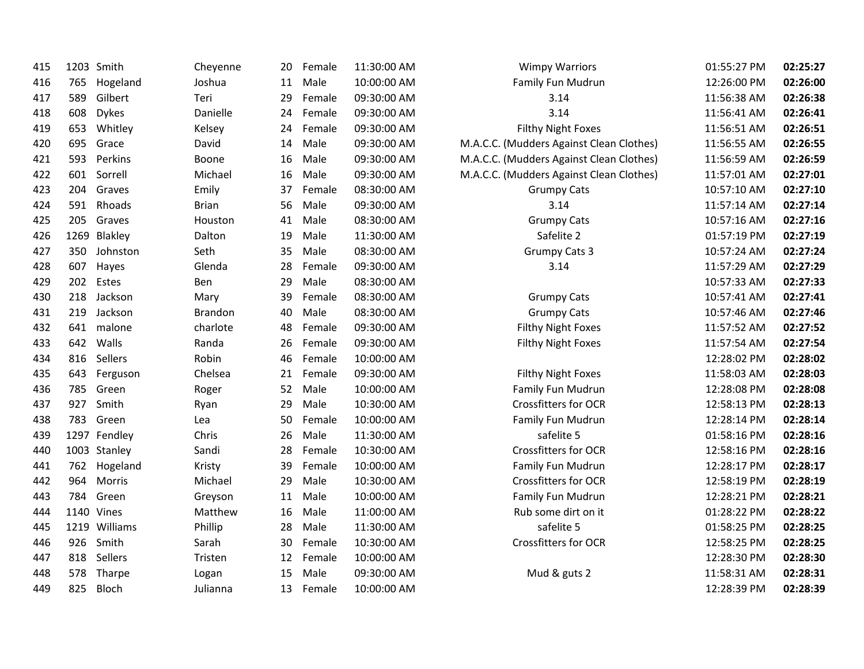| 415 |     | 1203 Smith    | Cheyenne       | 20 | Female | 11:30:00 AM | <b>Wimpy Warriors</b>                    | 01:55:27 PM | 02:25:27 |
|-----|-----|---------------|----------------|----|--------|-------------|------------------------------------------|-------------|----------|
| 416 | 765 | Hogeland      | Joshua         | 11 | Male   | 10:00:00 AM | Family Fun Mudrun                        | 12:26:00 PM | 02:26:00 |
| 417 | 589 | Gilbert       | Teri           | 29 | Female | 09:30:00 AM | 3.14                                     | 11:56:38 AM | 02:26:38 |
| 418 | 608 | <b>Dykes</b>  | Danielle       | 24 | Female | 09:30:00 AM | 3.14                                     | 11:56:41 AM | 02:26:41 |
| 419 | 653 | Whitley       | Kelsey         | 24 | Female | 09:30:00 AM | Filthy Night Foxes                       | 11:56:51 AM | 02:26:51 |
| 420 | 695 | Grace         | David          | 14 | Male   | 09:30:00 AM | M.A.C.C. (Mudders Against Clean Clothes) | 11:56:55 AM | 02:26:55 |
| 421 | 593 | Perkins       | Boone          | 16 | Male   | 09:30:00 AM | M.A.C.C. (Mudders Against Clean Clothes) | 11:56:59 AM | 02:26:59 |
| 422 | 601 | Sorrell       | Michael        | 16 | Male   | 09:30:00 AM | M.A.C.C. (Mudders Against Clean Clothes) | 11:57:01 AM | 02:27:01 |
| 423 | 204 | Graves        | Emily          | 37 | Female | 08:30:00 AM | <b>Grumpy Cats</b>                       | 10:57:10 AM | 02:27:10 |
| 424 | 591 | Rhoads        | <b>Brian</b>   | 56 | Male   | 09:30:00 AM | 3.14                                     | 11:57:14 AM | 02:27:14 |
| 425 | 205 | Graves        | Houston        | 41 | Male   | 08:30:00 AM | <b>Grumpy Cats</b>                       | 10:57:16 AM | 02:27:16 |
| 426 |     | 1269 Blakley  | Dalton         | 19 | Male   | 11:30:00 AM | Safelite 2                               | 01:57:19 PM | 02:27:19 |
| 427 | 350 | Johnston      | Seth           | 35 | Male   | 08:30:00 AM | <b>Grumpy Cats 3</b>                     | 10:57:24 AM | 02:27:24 |
| 428 | 607 | Hayes         | Glenda         | 28 | Female | 09:30:00 AM | 3.14                                     | 11:57:29 AM | 02:27:29 |
| 429 | 202 | Estes         | Ben            | 29 | Male   | 08:30:00 AM |                                          | 10:57:33 AM | 02:27:33 |
| 430 | 218 | Jackson       | Mary           | 39 | Female | 08:30:00 AM | <b>Grumpy Cats</b>                       | 10:57:41 AM | 02:27:41 |
| 431 | 219 | Jackson       | <b>Brandon</b> | 40 | Male   | 08:30:00 AM | <b>Grumpy Cats</b>                       | 10:57:46 AM | 02:27:46 |
| 432 | 641 | malone        | charlote       | 48 | Female | 09:30:00 AM | <b>Filthy Night Foxes</b>                | 11:57:52 AM | 02:27:52 |
| 433 | 642 | Walls         | Randa          | 26 | Female | 09:30:00 AM | <b>Filthy Night Foxes</b>                | 11:57:54 AM | 02:27:54 |
| 434 | 816 | Sellers       | Robin          | 46 | Female | 10:00:00 AM |                                          | 12:28:02 PM | 02:28:02 |
| 435 | 643 | Ferguson      | Chelsea        | 21 | Female | 09:30:00 AM | Filthy Night Foxes                       | 11:58:03 AM | 02:28:03 |
| 436 | 785 | Green         | Roger          | 52 | Male   | 10:00:00 AM | Family Fun Mudrun                        | 12:28:08 PM | 02:28:08 |
| 437 | 927 | Smith         | Ryan           | 29 | Male   | 10:30:00 AM | <b>Crossfitters for OCR</b>              | 12:58:13 PM | 02:28:13 |
| 438 | 783 | Green         | Lea            | 50 | Female | 10:00:00 AM | Family Fun Mudrun                        | 12:28:14 PM | 02:28:14 |
| 439 |     | 1297 Fendley  | Chris          | 26 | Male   | 11:30:00 AM | safelite 5                               | 01:58:16 PM | 02:28:16 |
| 440 |     | 1003 Stanley  | Sandi          | 28 | Female | 10:30:00 AM | <b>Crossfitters for OCR</b>              | 12:58:16 PM | 02:28:16 |
| 441 | 762 | Hogeland      | Kristy         | 39 | Female | 10:00:00 AM | Family Fun Mudrun                        | 12:28:17 PM | 02:28:17 |
| 442 | 964 | Morris        | Michael        | 29 | Male   | 10:30:00 AM | <b>Crossfitters for OCR</b>              | 12:58:19 PM | 02:28:19 |
| 443 | 784 | Green         | Greyson        | 11 | Male   | 10:00:00 AM | Family Fun Mudrun                        | 12:28:21 PM | 02:28:21 |
| 444 |     | 1140 Vines    | Matthew        | 16 | Male   | 11:00:00 AM | Rub some dirt on it                      | 01:28:22 PM | 02:28:22 |
| 445 |     | 1219 Williams | Phillip        | 28 | Male   | 11:30:00 AM | safelite 5                               | 01:58:25 PM | 02:28:25 |
| 446 | 926 | Smith         | Sarah          | 30 | Female | 10:30:00 AM | Crossfitters for OCR                     | 12:58:25 PM | 02:28:25 |
| 447 | 818 | Sellers       | Tristen        | 12 | Female | 10:00:00 AM |                                          | 12:28:30 PM | 02:28:30 |
| 448 |     | 578 Tharpe    | Logan          | 15 | Male   | 09:30:00 AM | Mud & guts 2                             | 11:58:31 AM | 02:28:31 |
| 449 | 825 | Bloch         | Julianna       | 13 | Female | 10:00:00 AM |                                          | 12:28:39 PM | 02:28:39 |
|     |     |               |                |    |        |             |                                          |             |          |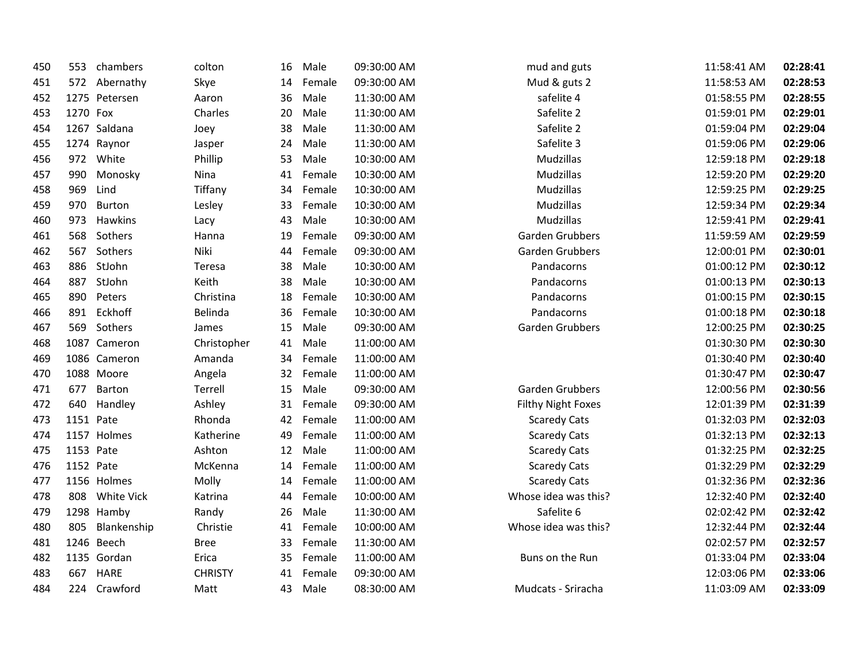| 450 | 553       | chambers      | colton         | 16 | Male   | 09:30:00 AM | mud and guts              | 11:58:41 AM | 02:28:41 |
|-----|-----------|---------------|----------------|----|--------|-------------|---------------------------|-------------|----------|
| 451 | 572       | Abernathy     | Skye           | 14 | Female | 09:30:00 AM | Mud & guts 2              | 11:58:53 AM | 02:28:53 |
| 452 |           | 1275 Petersen | Aaron          | 36 | Male   | 11:30:00 AM | safelite 4                | 01:58:55 PM | 02:28:55 |
| 453 | 1270 Fox  |               | Charles        | 20 | Male   | 11:30:00 AM | Safelite 2                | 01:59:01 PM | 02:29:01 |
| 454 |           | 1267 Saldana  | Joey           | 38 | Male   | 11:30:00 AM | Safelite 2                | 01:59:04 PM | 02:29:04 |
| 455 |           | 1274 Raynor   | Jasper         | 24 | Male   | 11:30:00 AM | Safelite 3                | 01:59:06 PM | 02:29:06 |
| 456 | 972       | White         | Phillip        | 53 | Male   | 10:30:00 AM | Mudzillas                 | 12:59:18 PM | 02:29:18 |
| 457 | 990       | Monosky       | Nina           | 41 | Female | 10:30:00 AM | Mudzillas                 | 12:59:20 PM | 02:29:20 |
| 458 | 969       | Lind          | Tiffany        | 34 | Female | 10:30:00 AM | Mudzillas                 | 12:59:25 PM | 02:29:25 |
| 459 | 970       | Burton        | Lesley         | 33 | Female | 10:30:00 AM | Mudzillas                 | 12:59:34 PM | 02:29:34 |
| 460 | 973       | Hawkins       | Lacy           | 43 | Male   | 10:30:00 AM | Mudzillas                 | 12:59:41 PM | 02:29:41 |
| 461 | 568       | Sothers       | Hanna          | 19 | Female | 09:30:00 AM | Garden Grubbers           | 11:59:59 AM | 02:29:59 |
| 462 | 567       | Sothers       | Niki           | 44 | Female | 09:30:00 AM | Garden Grubbers           | 12:00:01 PM | 02:30:01 |
| 463 | 886       | StJohn        | Teresa         | 38 | Male   | 10:30:00 AM | Pandacorns                | 01:00:12 PM | 02:30:12 |
| 464 | 887       | StJohn        | Keith          | 38 | Male   | 10:30:00 AM | Pandacorns                | 01:00:13 PM | 02:30:13 |
| 465 | 890       | Peters        | Christina      | 18 | Female | 10:30:00 AM | Pandacorns                | 01:00:15 PM | 02:30:15 |
| 466 | 891       | Eckhoff       | Belinda        | 36 | Female | 10:30:00 AM | Pandacorns                | 01:00:18 PM | 02:30:18 |
| 467 | 569       | Sothers       | James          | 15 | Male   | 09:30:00 AM | Garden Grubbers           | 12:00:25 PM | 02:30:25 |
| 468 |           | 1087 Cameron  | Christopher    | 41 | Male   | 11:00:00 AM |                           | 01:30:30 PM | 02:30:30 |
| 469 |           | 1086 Cameron  | Amanda         | 34 | Female | 11:00:00 AM |                           | 01:30:40 PM | 02:30:40 |
| 470 |           | 1088 Moore    | Angela         | 32 | Female | 11:00:00 AM |                           | 01:30:47 PM | 02:30:47 |
| 471 | 677       | Barton        | Terrell        | 15 | Male   | 09:30:00 AM | Garden Grubbers           | 12:00:56 PM | 02:30:56 |
| 472 | 640       | Handley       | Ashley         | 31 | Female | 09:30:00 AM | <b>Filthy Night Foxes</b> | 12:01:39 PM | 02:31:39 |
| 473 | 1151 Pate |               | Rhonda         | 42 | Female | 11:00:00 AM | <b>Scaredy Cats</b>       | 01:32:03 PM | 02:32:03 |
| 474 |           | 1157 Holmes   | Katherine      | 49 | Female | 11:00:00 AM | <b>Scaredy Cats</b>       | 01:32:13 PM | 02:32:13 |
| 475 | 1153 Pate |               | Ashton         | 12 | Male   | 11:00:00 AM | <b>Scaredy Cats</b>       | 01:32:25 PM | 02:32:25 |
| 476 | 1152 Pate |               | McKenna        | 14 | Female | 11:00:00 AM | <b>Scaredy Cats</b>       | 01:32:29 PM | 02:32:29 |
| 477 |           | 1156 Holmes   | Molly          | 14 | Female | 11:00:00 AM | <b>Scaredy Cats</b>       | 01:32:36 PM | 02:32:36 |
| 478 | 808       | White Vick    | Katrina        | 44 | Female | 10:00:00 AM | Whose idea was this?      | 12:32:40 PM | 02:32:40 |
| 479 |           | 1298 Hamby    | Randy          | 26 | Male   | 11:30:00 AM | Safelite 6                | 02:02:42 PM | 02:32:42 |
| 480 | 805       | Blankenship   | Christie       | 41 | Female | 10:00:00 AM | Whose idea was this?      | 12:32:44 PM | 02:32:44 |
| 481 |           | 1246 Beech    | <b>Bree</b>    | 33 | Female | 11:30:00 AM |                           | 02:02:57 PM | 02:32:57 |
| 482 |           | 1135 Gordan   | Erica          | 35 | Female | 11:00:00 AM | Buns on the Run           | 01:33:04 PM | 02:33:04 |
| 483 | 667       | <b>HARE</b>   | <b>CHRISTY</b> | 41 | Female | 09:30:00 AM |                           | 12:03:06 PM | 02:33:06 |
| 484 |           | 224 Crawford  | Matt           | 43 | Male   | 08:30:00 AM | Mudcats - Sriracha        | 11:03:09 AM | 02:33:09 |
|     |           |               |                |    |        |             |                           |             |          |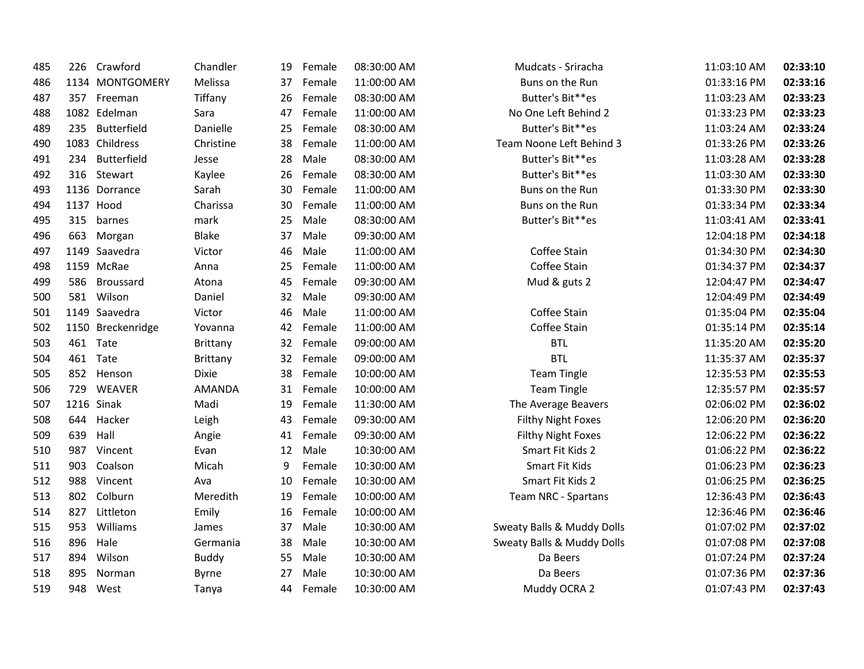| 485 | 226 | Crawford          | Chandler        | 19 | Female | 08:30:00 AM | Mudcats - Sriracha                    | 11:03:10 AM | 02:33:10 |
|-----|-----|-------------------|-----------------|----|--------|-------------|---------------------------------------|-------------|----------|
| 486 |     | 1134 MONTGOMERY   | Melissa         | 37 | Female | 11:00:00 AM | Buns on the Run                       | 01:33:16 PM | 02:33:16 |
| 487 |     | 357 Freeman       | Tiffany         | 26 | Female | 08:30:00 AM | Butter's Bit**es                      | 11:03:23 AM | 02:33:23 |
| 488 |     | 1082 Edelman      | Sara            | 47 | Female | 11:00:00 AM | No One Left Behind 2                  | 01:33:23 PM | 02:33:23 |
| 489 | 235 | Butterfield       | Danielle        | 25 | Female | 08:30:00 AM | Butter's Bit**es                      | 11:03:24 AM | 02:33:24 |
| 490 |     | 1083 Childress    | Christine       | 38 | Female | 11:00:00 AM | Team Noone Left Behind 3              | 01:33:26 PM | 02:33:26 |
| 491 | 234 | Butterfield       | Jesse           | 28 | Male   | 08:30:00 AM | Butter's Bit**es                      | 11:03:28 AM | 02:33:28 |
| 492 |     | 316 Stewart       | Kaylee          | 26 | Female | 08:30:00 AM | Butter's Bit**es                      | 11:03:30 AM | 02:33:30 |
| 493 |     | 1136 Dorrance     | Sarah           | 30 | Female | 11:00:00 AM | Buns on the Run                       | 01:33:30 PM | 02:33:30 |
| 494 |     | 1137 Hood         | Charissa        | 30 | Female | 11:00:00 AM | Buns on the Run                       | 01:33:34 PM | 02:33:34 |
| 495 | 315 | barnes            | mark            | 25 | Male   | 08:30:00 AM | Butter's Bit**es                      | 11:03:41 AM | 02:33:41 |
| 496 | 663 | Morgan            | <b>Blake</b>    | 37 | Male   | 09:30:00 AM |                                       | 12:04:18 PM | 02:34:18 |
| 497 |     | 1149 Saavedra     | Victor          | 46 | Male   | 11:00:00 AM | Coffee Stain                          | 01:34:30 PM | 02:34:30 |
| 498 |     | 1159 McRae        | Anna            | 25 | Female | 11:00:00 AM | Coffee Stain                          | 01:34:37 PM | 02:34:37 |
| 499 | 586 | Broussard         | Atona           | 45 | Female | 09:30:00 AM | Mud & guts 2                          | 12:04:47 PM | 02:34:47 |
| 500 | 581 | Wilson            | Daniel          | 32 | Male   | 09:30:00 AM |                                       | 12:04:49 PM | 02:34:49 |
| 501 |     | 1149 Saavedra     | Victor          | 46 | Male   | 11:00:00 AM | Coffee Stain                          | 01:35:04 PM | 02:35:04 |
| 502 |     | 1150 Breckenridge | Yovanna         | 42 | Female | 11:00:00 AM | Coffee Stain                          | 01:35:14 PM | 02:35:14 |
| 503 | 461 | Tate              | <b>Brittany</b> | 32 | Female | 09:00:00 AM | <b>BTL</b>                            | 11:35:20 AM | 02:35:20 |
| 504 |     | 461 Tate          | Brittany        | 32 | Female | 09:00:00 AM | <b>BTL</b>                            | 11:35:37 AM | 02:35:37 |
| 505 | 852 | Henson            | <b>Dixie</b>    | 38 | Female | 10:00:00 AM | <b>Team Tingle</b>                    | 12:35:53 PM | 02:35:53 |
| 506 | 729 | <b>WEAVER</b>     | <b>AMANDA</b>   | 31 | Female | 10:00:00 AM | <b>Team Tingle</b>                    | 12:35:57 PM | 02:35:57 |
| 507 |     | 1216 Sinak        | Madi            | 19 | Female | 11:30:00 AM | The Average Beavers                   | 02:06:02 PM | 02:36:02 |
| 508 | 644 | Hacker            | Leigh           | 43 | Female | 09:30:00 AM | <b>Filthy Night Foxes</b>             | 12:06:20 PM | 02:36:20 |
| 509 | 639 | Hall              | Angie           | 41 | Female | 09:30:00 AM | <b>Filthy Night Foxes</b>             | 12:06:22 PM | 02:36:22 |
| 510 | 987 | Vincent           | Evan            | 12 | Male   | 10:30:00 AM | Smart Fit Kids 2                      | 01:06:22 PM | 02:36:22 |
| 511 | 903 | Coalson           | Micah           | 9  | Female | 10:30:00 AM | Smart Fit Kids                        | 01:06:23 PM | 02:36:23 |
| 512 | 988 | Vincent           | Ava             | 10 | Female | 10:30:00 AM | Smart Fit Kids 2                      | 01:06:25 PM | 02:36:25 |
| 513 | 802 | Colburn           | Meredith        | 19 | Female | 10:00:00 AM | Team NRC - Spartans                   | 12:36:43 PM | 02:36:43 |
| 514 | 827 | Littleton         | Emily           | 16 | Female | 10:00:00 AM |                                       | 12:36:46 PM | 02:36:46 |
| 515 | 953 | Williams          | James           | 37 | Male   | 10:30:00 AM | Sweaty Balls & Muddy Dolls            | 01:07:02 PM | 02:37:02 |
| 516 | 896 | Hale              | Germania        | 38 | Male   | 10:30:00 AM | <b>Sweaty Balls &amp; Muddy Dolls</b> | 01:07:08 PM | 02:37:08 |
| 517 | 894 | Wilson            | <b>Buddy</b>    | 55 | Male   | 10:30:00 AM | Da Beers                              | 01:07:24 PM | 02:37:24 |
| 518 | 895 | Norman            | Byrne           | 27 | Male   | 10:30:00 AM | Da Beers                              | 01:07:36 PM | 02:37:36 |
| 519 |     | 948 West          | Tanya           | 44 | Female | 10:30:00 AM | Muddy OCRA 2                          | 01:07:43 PM | 02:37:43 |
|     |     |                   |                 |    |        |             |                                       |             |          |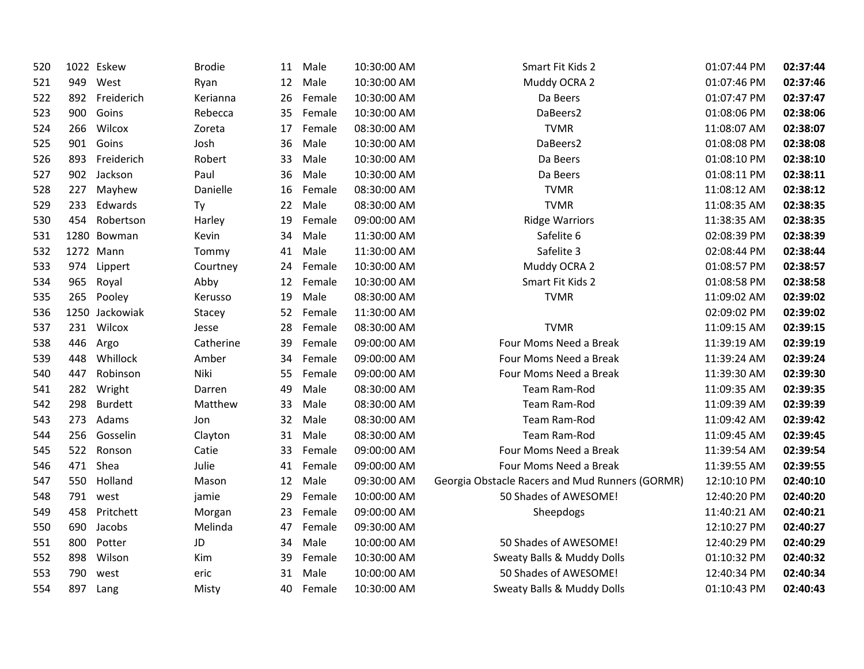| 520 |     | 1022 Eskew     | <b>Brodie</b> | 11 | Male   | 10:30:00 AM | Smart Fit Kids 2                                | 01:07:44 PM | 02:37:44 |
|-----|-----|----------------|---------------|----|--------|-------------|-------------------------------------------------|-------------|----------|
| 521 | 949 | West           | Ryan          | 12 | Male   | 10:30:00 AM | Muddy OCRA 2                                    | 01:07:46 PM | 02:37:46 |
| 522 | 892 | Freiderich     | Kerianna      | 26 | Female | 10:30:00 AM | Da Beers                                        | 01:07:47 PM | 02:37:47 |
| 523 | 900 | Goins          | Rebecca       | 35 | Female | 10:30:00 AM | DaBeers2                                        | 01:08:06 PM | 02:38:06 |
| 524 | 266 | Wilcox         | Zoreta        | 17 | Female | 08:30:00 AM | <b>TVMR</b>                                     | 11:08:07 AM | 02:38:07 |
| 525 | 901 | Goins          | Josh          | 36 | Male   | 10:30:00 AM | DaBeers2                                        | 01:08:08 PM | 02:38:08 |
| 526 | 893 | Freiderich     | Robert        | 33 | Male   | 10:30:00 AM | Da Beers                                        | 01:08:10 PM | 02:38:10 |
| 527 | 902 | Jackson        | Paul          | 36 | Male   | 10:30:00 AM | Da Beers                                        | 01:08:11 PM | 02:38:11 |
| 528 | 227 | Mayhew         | Danielle      | 16 | Female | 08:30:00 AM | <b>TVMR</b>                                     | 11:08:12 AM | 02:38:12 |
| 529 | 233 | Edwards        | Ty            | 22 | Male   | 08:30:00 AM | <b>TVMR</b>                                     | 11:08:35 AM | 02:38:35 |
| 530 | 454 | Robertson      | Harley        | 19 | Female | 09:00:00 AM | <b>Ridge Warriors</b>                           | 11:38:35 AM | 02:38:35 |
| 531 |     | 1280 Bowman    | Kevin         | 34 | Male   | 11:30:00 AM | Safelite 6                                      | 02:08:39 PM | 02:38:39 |
| 532 |     | 1272 Mann      | Tommy         | 41 | Male   | 11:30:00 AM | Safelite 3                                      | 02:08:44 PM | 02:38:44 |
| 533 | 974 | Lippert        | Courtney      | 24 | Female | 10:30:00 AM | Muddy OCRA 2                                    | 01:08:57 PM | 02:38:57 |
| 534 | 965 | Royal          | Abby          | 12 | Female | 10:30:00 AM | Smart Fit Kids 2                                | 01:08:58 PM | 02:38:58 |
| 535 | 265 | Pooley         | Kerusso       | 19 | Male   | 08:30:00 AM | <b>TVMR</b>                                     | 11:09:02 AM | 02:39:02 |
| 536 |     | 1250 Jackowiak | Stacey        | 52 | Female | 11:30:00 AM |                                                 | 02:09:02 PM | 02:39:02 |
| 537 | 231 | Wilcox         | Jesse         | 28 | Female | 08:30:00 AM | <b>TVMR</b>                                     | 11:09:15 AM | 02:39:15 |
| 538 | 446 | Argo           | Catherine     | 39 | Female | 09:00:00 AM | Four Moms Need a Break                          | 11:39:19 AM | 02:39:19 |
| 539 | 448 | Whillock       | Amber         | 34 | Female | 09:00:00 AM | Four Moms Need a Break                          | 11:39:24 AM | 02:39:24 |
| 540 | 447 | Robinson       | Niki          | 55 | Female | 09:00:00 AM | Four Moms Need a Break                          | 11:39:30 AM | 02:39:30 |
| 541 | 282 | Wright         | Darren        | 49 | Male   | 08:30:00 AM | Team Ram-Rod                                    | 11:09:35 AM | 02:39:35 |
| 542 | 298 | <b>Burdett</b> | Matthew       | 33 | Male   | 08:30:00 AM | Team Ram-Rod                                    | 11:09:39 AM | 02:39:39 |
| 543 | 273 | Adams          | Jon           | 32 | Male   | 08:30:00 AM | Team Ram-Rod                                    | 11:09:42 AM | 02:39:42 |
| 544 | 256 | Gosselin       | Clayton       | 31 | Male   | 08:30:00 AM | Team Ram-Rod                                    | 11:09:45 AM | 02:39:45 |
| 545 | 522 | Ronson         | Catie         | 33 | Female | 09:00:00 AM | Four Moms Need a Break                          | 11:39:54 AM | 02:39:54 |
| 546 | 471 | Shea           | Julie         | 41 | Female | 09:00:00 AM | Four Moms Need a Break                          | 11:39:55 AM | 02:39:55 |
| 547 | 550 | Holland        | Mason         | 12 | Male   | 09:30:00 AM | Georgia Obstacle Racers and Mud Runners (GORMR) | 12:10:10 PM | 02:40:10 |
| 548 |     | 791 west       | jamie         | 29 | Female | 10:00:00 AM | 50 Shades of AWESOME!                           | 12:40:20 PM | 02:40:20 |
| 549 | 458 | Pritchett      | Morgan        | 23 | Female | 09:00:00 AM | Sheepdogs                                       | 11:40:21 AM | 02:40:21 |
| 550 | 690 | Jacobs         | Melinda       | 47 | Female | 09:30:00 AM |                                                 | 12:10:27 PM | 02:40:27 |
| 551 | 800 | Potter         | JD            | 34 | Male   | 10:00:00 AM | 50 Shades of AWESOME!                           | 12:40:29 PM | 02:40:29 |
| 552 | 898 | Wilson         | Kim           | 39 | Female | 10:30:00 AM | Sweaty Balls & Muddy Dolls                      | 01:10:32 PM | 02:40:32 |
| 553 | 790 | west           | eric          | 31 | Male   | 10:00:00 AM | 50 Shades of AWESOME!                           | 12:40:34 PM | 02:40:34 |
| 554 | 897 | Lang           | Misty         | 40 | Female | 10:30:00 AM | <b>Sweaty Balls &amp; Muddy Dolls</b>           | 01:10:43 PM | 02:40:43 |
|     |     |                |               |    |        |             |                                                 |             |          |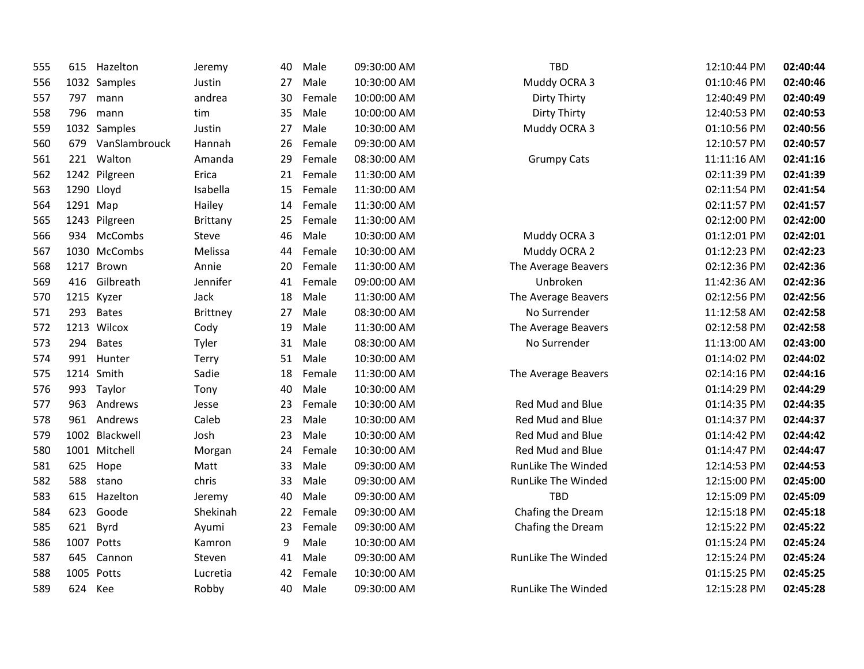| 555 | 615      | Hazelton          | Jeremy   | 40 | Male    | 09:30:00 AM | <b>TBD</b>                | 12:10:44 PM | 02:40:44 |
|-----|----------|-------------------|----------|----|---------|-------------|---------------------------|-------------|----------|
| 556 |          | 1032 Samples      | Justin   | 27 | Male    | 10:30:00 AM | Muddy OCRA 3              | 01:10:46 PM | 02:40:46 |
| 557 |          | 797 mann          | andrea   | 30 | Female  | 10:00:00 AM | Dirty Thirty              | 12:40:49 PM | 02:40:49 |
| 558 |          | 796 mann          | tim      | 35 | Male    | 10:00:00 AM | Dirty Thirty              | 12:40:53 PM | 02:40:53 |
| 559 |          | 1032 Samples      | Justin   | 27 | Male    | 10:30:00 AM | Muddy OCRA 3              | 01:10:56 PM | 02:40:56 |
| 560 |          | 679 VanSlambrouck | Hannah   | 26 | Female  | 09:30:00 AM |                           | 12:10:57 PM | 02:40:57 |
| 561 |          | 221 Walton        | Amanda   | 29 | Female  | 08:30:00 AM | <b>Grumpy Cats</b>        | 11:11:16 AM | 02:41:16 |
| 562 |          | 1242 Pilgreen     | Erica    | 21 | Female  | 11:30:00 AM |                           | 02:11:39 PM | 02:41:39 |
| 563 |          | 1290 Lloyd        | Isabella | 15 | Female  | 11:30:00 AM |                           | 02:11:54 PM | 02:41:54 |
| 564 | 1291 Map |                   | Hailey   | 14 | Female  | 11:30:00 AM |                           | 02:11:57 PM | 02:41:57 |
| 565 |          | 1243 Pilgreen     | Brittany | 25 | Female  | 11:30:00 AM |                           | 02:12:00 PM | 02:42:00 |
| 566 |          | 934 McCombs       | Steve    | 46 | Male    | 10:30:00 AM | Muddy OCRA 3              | 01:12:01 PM | 02:42:01 |
| 567 |          | 1030 McCombs      | Melissa  | 44 | Female  | 10:30:00 AM | Muddy OCRA 2              | 01:12:23 PM | 02:42:23 |
| 568 |          | 1217 Brown        | Annie    | 20 | Female  | 11:30:00 AM | The Average Beavers       | 02:12:36 PM | 02:42:36 |
| 569 |          | 416 Gilbreath     | Jennifer | 41 | Female  | 09:00:00 AM | Unbroken                  | 11:42:36 AM | 02:42:36 |
| 570 |          | 1215 Kyzer        | Jack     | 18 | Male    | 11:30:00 AM | The Average Beavers       | 02:12:56 PM | 02:42:56 |
| 571 | 293      | <b>Bates</b>      | Brittney | 27 | Male    | 08:30:00 AM | No Surrender              | 11:12:58 AM | 02:42:58 |
| 572 |          | 1213 Wilcox       | Cody     | 19 | Male    | 11:30:00 AM | The Average Beavers       | 02:12:58 PM | 02:42:58 |
| 573 | 294      | <b>Bates</b>      | Tyler    | 31 | Male    | 08:30:00 AM | No Surrender              | 11:13:00 AM | 02:43:00 |
| 574 |          | 991 Hunter        | Terry    |    | 51 Male | 10:30:00 AM |                           | 01:14:02 PM | 02:44:02 |
| 575 |          | 1214 Smith        | Sadie    | 18 | Female  | 11:30:00 AM | The Average Beavers       | 02:14:16 PM | 02:44:16 |
| 576 |          | 993 Taylor        | Tony     | 40 | Male    | 10:30:00 AM |                           | 01:14:29 PM | 02:44:29 |
| 577 |          | 963 Andrews       | Jesse    | 23 | Female  | 10:30:00 AM | Red Mud and Blue          | 01:14:35 PM | 02:44:35 |
| 578 |          | 961 Andrews       | Caleb    | 23 | Male    | 10:30:00 AM | Red Mud and Blue          | 01:14:37 PM | 02:44:37 |
| 579 |          | 1002 Blackwell    | Josh     | 23 | Male    | 10:30:00 AM | Red Mud and Blue          | 01:14:42 PM | 02:44:42 |
| 580 |          | 1001 Mitchell     | Morgan   | 24 | Female  | 10:30:00 AM | Red Mud and Blue          | 01:14:47 PM | 02:44:47 |
| 581 | 625      | Hope              | Matt     | 33 | Male    | 09:30:00 AM | RunLike The Winded        | 12:14:53 PM | 02:44:53 |
| 582 | 588      | stano             | chris    | 33 | Male    | 09:30:00 AM | <b>RunLike The Winded</b> | 12:15:00 PM | 02:45:00 |
| 583 | 615      | Hazelton          | Jeremy   | 40 | Male    | 09:30:00 AM | <b>TBD</b>                | 12:15:09 PM | 02:45:09 |
| 584 |          | 623 Goode         | Shekinah | 22 | Female  | 09:30:00 AM | Chafing the Dream         | 12:15:18 PM | 02:45:18 |
| 585 | 621      | Byrd              | Ayumi    | 23 | Female  | 09:30:00 AM | Chafing the Dream         | 12:15:22 PM | 02:45:22 |
| 586 |          | 1007 Potts        | Kamron   | 9  | Male    | 10:30:00 AM |                           | 01:15:24 PM | 02:45:24 |
| 587 |          | 645 Cannon        | Steven   | 41 | Male    | 09:30:00 AM | RunLike The Winded        | 12:15:24 PM | 02:45:24 |
| 588 |          | 1005 Potts        | Lucretia | 42 | Female  | 10:30:00 AM |                           | 01:15:25 PM | 02:45:25 |
| 589 | 624 Kee  |                   | Robby    | 40 | Male    | 09:30:00 AM | <b>RunLike The Winded</b> | 12:15:28 PM | 02:45:28 |
|     |          |                   |          |    |         |             |                           |             |          |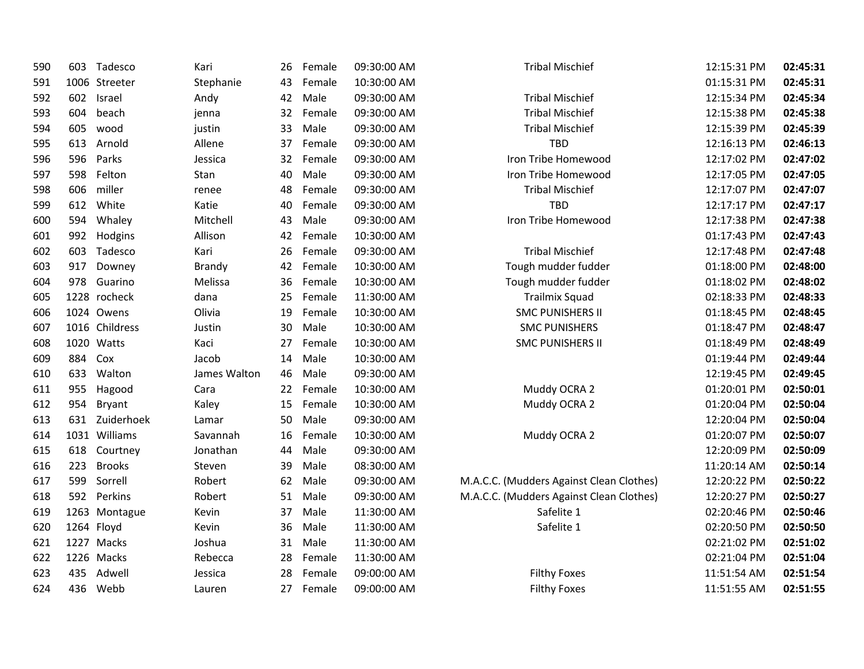| 590 | 603 | Tadesco        | Kari         | 26 | Female | 09:30:00 AM | <b>Tribal Mischief</b>                   | 12:15:31 PM | 02:45:31 |
|-----|-----|----------------|--------------|----|--------|-------------|------------------------------------------|-------------|----------|
| 591 |     | 1006 Streeter  | Stephanie    | 43 | Female | 10:30:00 AM |                                          | 01:15:31 PM | 02:45:31 |
| 592 | 602 | Israel         | Andy         | 42 | Male   | 09:30:00 AM | <b>Tribal Mischief</b>                   | 12:15:34 PM | 02:45:34 |
| 593 | 604 | beach          | jenna        | 32 | Female | 09:30:00 AM | <b>Tribal Mischief</b>                   | 12:15:38 PM | 02:45:38 |
| 594 | 605 | wood           | justin       | 33 | Male   | 09:30:00 AM | <b>Tribal Mischief</b>                   | 12:15:39 PM | 02:45:39 |
| 595 | 613 | Arnold         | Allene       | 37 | Female | 09:30:00 AM | <b>TBD</b>                               | 12:16:13 PM | 02:46:13 |
| 596 | 596 | Parks          | Jessica      | 32 | Female | 09:30:00 AM | Iron Tribe Homewood                      | 12:17:02 PM | 02:47:02 |
| 597 | 598 | Felton         | Stan         | 40 | Male   | 09:30:00 AM | Iron Tribe Homewood                      | 12:17:05 PM | 02:47:05 |
| 598 | 606 | miller         | renee        | 48 | Female | 09:30:00 AM | <b>Tribal Mischief</b>                   | 12:17:07 PM | 02:47:07 |
| 599 | 612 | White          | Katie        | 40 | Female | 09:30:00 AM | <b>TBD</b>                               | 12:17:17 PM | 02:47:17 |
| 600 | 594 | Whaley         | Mitchell     | 43 | Male   | 09:30:00 AM | Iron Tribe Homewood                      | 12:17:38 PM | 02:47:38 |
| 601 | 992 | Hodgins        | Allison      | 42 | Female | 10:30:00 AM |                                          | 01:17:43 PM | 02:47:43 |
| 602 | 603 | Tadesco        | Kari         | 26 | Female | 09:30:00 AM | <b>Tribal Mischief</b>                   | 12:17:48 PM | 02:47:48 |
| 603 | 917 | Downey         | Brandy       | 42 | Female | 10:30:00 AM | Tough mudder fudder                      | 01:18:00 PM | 02:48:00 |
| 604 | 978 | Guarino        | Melissa      | 36 | Female | 10:30:00 AM | Tough mudder fudder                      | 01:18:02 PM | 02:48:02 |
| 605 |     | 1228 rocheck   | dana         | 25 | Female | 11:30:00 AM | <b>Trailmix Squad</b>                    | 02:18:33 PM | 02:48:33 |
| 606 |     | 1024 Owens     | Olivia       | 19 | Female | 10:30:00 AM | <b>SMC PUNISHERS II</b>                  | 01:18:45 PM | 02:48:45 |
| 607 |     | 1016 Childress | Justin       | 30 | Male   | 10:30:00 AM | <b>SMC PUNISHERS</b>                     | 01:18:47 PM | 02:48:47 |
| 608 |     | 1020 Watts     | Kaci         | 27 | Female | 10:30:00 AM | <b>SMC PUNISHERS II</b>                  | 01:18:49 PM | 02:48:49 |
| 609 | 884 | Cox            | Jacob        | 14 | Male   | 10:30:00 AM |                                          | 01:19:44 PM | 02:49:44 |
| 610 | 633 | Walton         | James Walton | 46 | Male   | 09:30:00 AM |                                          | 12:19:45 PM | 02:49:45 |
| 611 | 955 | Hagood         | Cara         | 22 | Female | 10:30:00 AM | Muddy OCRA 2                             | 01:20:01 PM | 02:50:01 |
| 612 | 954 | Bryant         | Kaley        | 15 | Female | 10:30:00 AM | Muddy OCRA 2                             | 01:20:04 PM | 02:50:04 |
| 613 |     | 631 Zuiderhoek | Lamar        | 50 | Male   | 09:30:00 AM |                                          | 12:20:04 PM | 02:50:04 |
| 614 |     | 1031 Williams  | Savannah     | 16 | Female | 10:30:00 AM | Muddy OCRA 2                             | 01:20:07 PM | 02:50:07 |
| 615 | 618 | Courtney       | Jonathan     | 44 | Male   | 09:30:00 AM |                                          | 12:20:09 PM | 02:50:09 |
| 616 | 223 | <b>Brooks</b>  | Steven       | 39 | Male   | 08:30:00 AM |                                          | 11:20:14 AM | 02:50:14 |
| 617 | 599 | Sorrell        | Robert       | 62 | Male   | 09:30:00 AM | M.A.C.C. (Mudders Against Clean Clothes) | 12:20:22 PM | 02:50:22 |
| 618 | 592 | Perkins        | Robert       | 51 | Male   | 09:30:00 AM | M.A.C.C. (Mudders Against Clean Clothes) | 12:20:27 PM | 02:50:27 |
| 619 |     | 1263 Montague  | Kevin        | 37 | Male   | 11:30:00 AM | Safelite 1                               | 02:20:46 PM | 02:50:46 |
| 620 |     | 1264 Floyd     | Kevin        | 36 | Male   | 11:30:00 AM | Safelite 1                               | 02:20:50 PM | 02:50:50 |
| 621 |     | 1227 Macks     | Joshua       | 31 | Male   | 11:30:00 AM |                                          | 02:21:02 PM | 02:51:02 |
| 622 |     | 1226 Macks     | Rebecca      | 28 | Female | 11:30:00 AM |                                          | 02:21:04 PM | 02:51:04 |
| 623 | 435 | Adwell         | Jessica      | 28 | Female | 09:00:00 AM | <b>Filthy Foxes</b>                      | 11:51:54 AM | 02:51:54 |
| 624 | 436 | Webb           | Lauren       | 27 | Female | 09:00:00 AM | <b>Filthy Foxes</b>                      | 11:51:55 AM | 02:51:55 |
|     |     |                |              |    |        |             |                                          |             |          |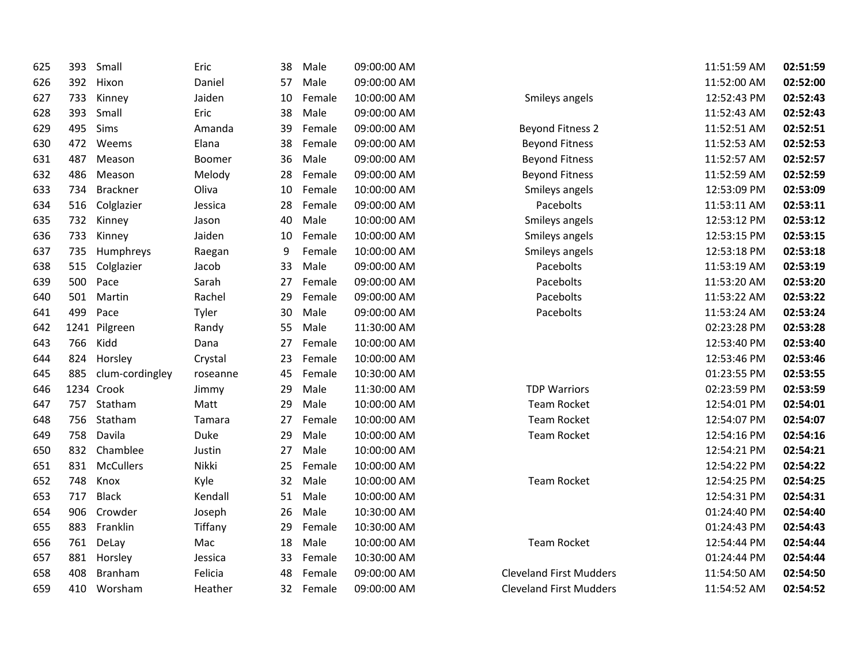| 625 | 393 | Small            | Eric     | 38 | Male   | 09:00:00 AM |                                | 11:51:59 AM | 02:51:59 |
|-----|-----|------------------|----------|----|--------|-------------|--------------------------------|-------------|----------|
| 626 | 392 | Hixon            | Daniel   | 57 | Male   | 09:00:00 AM |                                | 11:52:00 AM | 02:52:00 |
| 627 | 733 | Kinney           | Jaiden   | 10 | Female | 10:00:00 AM | Smileys angels                 | 12:52:43 PM | 02:52:43 |
| 628 | 393 | Small            | Eric     | 38 | Male   | 09:00:00 AM |                                | 11:52:43 AM | 02:52:43 |
| 629 | 495 | Sims             | Amanda   | 39 | Female | 09:00:00 AM | <b>Beyond Fitness 2</b>        | 11:52:51 AM | 02:52:51 |
| 630 | 472 | Weems            | Elana    | 38 | Female | 09:00:00 AM | <b>Beyond Fitness</b>          | 11:52:53 AM | 02:52:53 |
| 631 | 487 | Meason           | Boomer   | 36 | Male   | 09:00:00 AM | <b>Beyond Fitness</b>          | 11:52:57 AM | 02:52:57 |
| 632 | 486 | Meason           | Melody   | 28 | Female | 09:00:00 AM | <b>Beyond Fitness</b>          | 11:52:59 AM | 02:52:59 |
| 633 | 734 | <b>Brackner</b>  | Oliva    | 10 | Female | 10:00:00 AM | Smileys angels                 | 12:53:09 PM | 02:53:09 |
| 634 | 516 | Colglazier       | Jessica  | 28 | Female | 09:00:00 AM | Pacebolts                      | 11:53:11 AM | 02:53:11 |
| 635 | 732 | Kinney           | Jason    | 40 | Male   | 10:00:00 AM | Smileys angels                 | 12:53:12 PM | 02:53:12 |
| 636 | 733 | Kinney           | Jaiden   | 10 | Female | 10:00:00 AM | Smileys angels                 | 12:53:15 PM | 02:53:15 |
| 637 | 735 | Humphreys        | Raegan   | 9  | Female | 10:00:00 AM | Smileys angels                 | 12:53:18 PM | 02:53:18 |
| 638 | 515 | Colglazier       | Jacob    | 33 | Male   | 09:00:00 AM | Pacebolts                      | 11:53:19 AM | 02:53:19 |
| 639 | 500 | Pace             | Sarah    | 27 | Female | 09:00:00 AM | Pacebolts                      | 11:53:20 AM | 02:53:20 |
| 640 | 501 | Martin           | Rachel   | 29 | Female | 09:00:00 AM | Pacebolts                      | 11:53:22 AM | 02:53:22 |
| 641 | 499 | Pace             | Tyler    | 30 | Male   | 09:00:00 AM | Pacebolts                      | 11:53:24 AM | 02:53:24 |
| 642 |     | 1241 Pilgreen    | Randy    | 55 | Male   | 11:30:00 AM |                                | 02:23:28 PM | 02:53:28 |
| 643 | 766 | Kidd             | Dana     | 27 | Female | 10:00:00 AM |                                | 12:53:40 PM | 02:53:40 |
| 644 | 824 | Horsley          | Crystal  | 23 | Female | 10:00:00 AM |                                | 12:53:46 PM | 02:53:46 |
| 645 | 885 | clum-cordingley  | roseanne | 45 | Female | 10:30:00 AM |                                | 01:23:55 PM | 02:53:55 |
| 646 |     | 1234 Crook       | Jimmy    | 29 | Male   | 11:30:00 AM | <b>TDP Warriors</b>            | 02:23:59 PM | 02:53:59 |
| 647 | 757 | Statham          | Matt     | 29 | Male   | 10:00:00 AM | <b>Team Rocket</b>             | 12:54:01 PM | 02:54:01 |
| 648 | 756 | Statham          | Tamara   | 27 | Female | 10:00:00 AM | <b>Team Rocket</b>             | 12:54:07 PM | 02:54:07 |
| 649 | 758 | Davila           | Duke     | 29 | Male   | 10:00:00 AM | <b>Team Rocket</b>             | 12:54:16 PM | 02:54:16 |
| 650 | 832 | Chamblee         | Justin   | 27 | Male   | 10:00:00 AM |                                | 12:54:21 PM | 02:54:21 |
| 651 | 831 | <b>McCullers</b> | Nikki    | 25 | Female | 10:00:00 AM |                                | 12:54:22 PM | 02:54:22 |
| 652 | 748 | Knox             | Kyle     | 32 | Male   | 10:00:00 AM | <b>Team Rocket</b>             | 12:54:25 PM | 02:54:25 |
| 653 | 717 | <b>Black</b>     | Kendall  | 51 | Male   | 10:00:00 AM |                                | 12:54:31 PM | 02:54:31 |
| 654 | 906 | Crowder          | Joseph   | 26 | Male   | 10:30:00 AM |                                | 01:24:40 PM | 02:54:40 |
| 655 | 883 | Franklin         | Tiffany  | 29 | Female | 10:30:00 AM |                                | 01:24:43 PM | 02:54:43 |
| 656 | 761 | DeLay            | Mac      | 18 | Male   | 10:00:00 AM | <b>Team Rocket</b>             | 12:54:44 PM | 02:54:44 |
| 657 | 881 | Horsley          | Jessica  | 33 | Female | 10:30:00 AM |                                | 01:24:44 PM | 02:54:44 |
| 658 | 408 | Branham          | Felicia  | 48 | Female | 09:00:00 AM | <b>Cleveland First Mudders</b> | 11:54:50 AM | 02:54:50 |
| 659 | 410 | Worsham          | Heather  | 32 | Female | 09:00:00 AM | <b>Cleveland First Mudders</b> | 11:54:52 AM | 02:54:52 |
|     |     |                  |          |    |        |             |                                |             |          |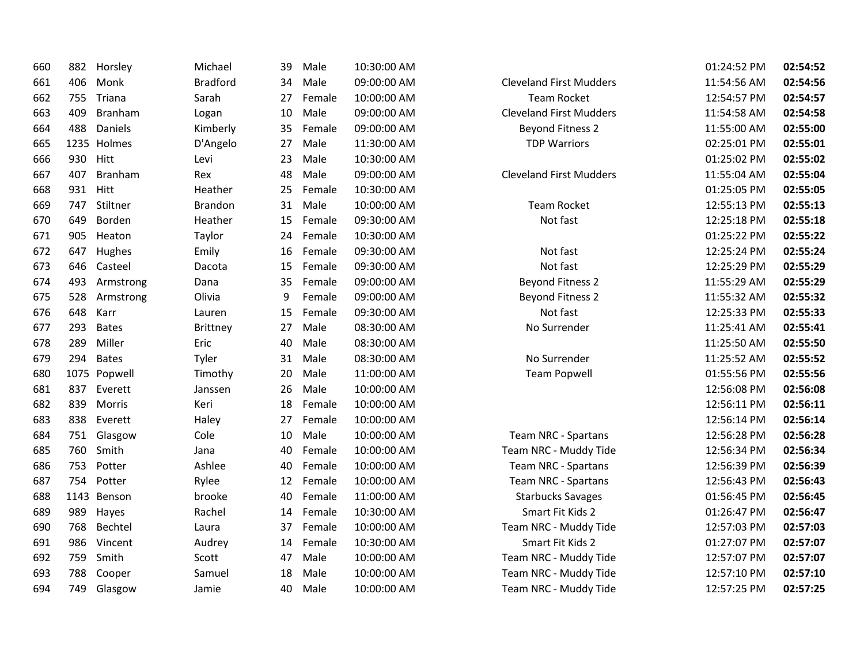| 660 | 882 | Horsley      | Michael         | 39 | Male   | 10:30:00 AM |                                | 01:24:52 PM | 02:54:52 |
|-----|-----|--------------|-----------------|----|--------|-------------|--------------------------------|-------------|----------|
| 661 | 406 | Monk         | <b>Bradford</b> | 34 | Male   | 09:00:00 AM | <b>Cleveland First Mudders</b> | 11:54:56 AM | 02:54:56 |
| 662 | 755 | Triana       | Sarah           | 27 | Female | 10:00:00 AM | <b>Team Rocket</b>             | 12:54:57 PM | 02:54:57 |
| 663 | 409 | Branham      | Logan           | 10 | Male   | 09:00:00 AM | <b>Cleveland First Mudders</b> | 11:54:58 AM | 02:54:58 |
| 664 | 488 | Daniels      | Kimberly        | 35 | Female | 09:00:00 AM | <b>Beyond Fitness 2</b>        | 11:55:00 AM | 02:55:00 |
| 665 |     | 1235 Holmes  | D'Angelo        | 27 | Male   | 11:30:00 AM | <b>TDP Warriors</b>            | 02:25:01 PM | 02:55:01 |
| 666 | 930 | Hitt         | Levi            | 23 | Male   | 10:30:00 AM |                                | 01:25:02 PM | 02:55:02 |
| 667 | 407 | Branham      | Rex             | 48 | Male   | 09:00:00 AM | <b>Cleveland First Mudders</b> | 11:55:04 AM | 02:55:04 |
| 668 | 931 | Hitt         | Heather         | 25 | Female | 10:30:00 AM |                                | 01:25:05 PM | 02:55:05 |
| 669 | 747 | Stiltner     | <b>Brandon</b>  | 31 | Male   | 10:00:00 AM | <b>Team Rocket</b>             | 12:55:13 PM | 02:55:13 |
| 670 | 649 | Borden       | Heather         | 15 | Female | 09:30:00 AM | Not fast                       | 12:25:18 PM | 02:55:18 |
| 671 | 905 | Heaton       | Taylor          | 24 | Female | 10:30:00 AM |                                | 01:25:22 PM | 02:55:22 |
| 672 | 647 | Hughes       | Emily           | 16 | Female | 09:30:00 AM | Not fast                       | 12:25:24 PM | 02:55:24 |
| 673 | 646 | Casteel      | Dacota          | 15 | Female | 09:30:00 AM | Not fast                       | 12:25:29 PM | 02:55:29 |
| 674 | 493 | Armstrong    | Dana            | 35 | Female | 09:00:00 AM | <b>Beyond Fitness 2</b>        | 11:55:29 AM | 02:55:29 |
| 675 | 528 | Armstrong    | Olivia          | 9  | Female | 09:00:00 AM | <b>Beyond Fitness 2</b>        | 11:55:32 AM | 02:55:32 |
| 676 | 648 | Karr         | Lauren          | 15 | Female | 09:30:00 AM | Not fast                       | 12:25:33 PM | 02:55:33 |
| 677 | 293 | <b>Bates</b> | Brittney        | 27 | Male   | 08:30:00 AM | No Surrender                   | 11:25:41 AM | 02:55:41 |
| 678 | 289 | Miller       | Eric            | 40 | Male   | 08:30:00 AM |                                | 11:25:50 AM | 02:55:50 |
| 679 | 294 | <b>Bates</b> | Tyler           | 31 | Male   | 08:30:00 AM | No Surrender                   | 11:25:52 AM | 02:55:52 |
| 680 |     | 1075 Popwell | Timothy         | 20 | Male   | 11:00:00 AM | <b>Team Popwell</b>            | 01:55:56 PM | 02:55:56 |
| 681 | 837 | Everett      | Janssen         | 26 | Male   | 10:00:00 AM |                                | 12:56:08 PM | 02:56:08 |
| 682 | 839 | Morris       | Keri            | 18 | Female | 10:00:00 AM |                                | 12:56:11 PM | 02:56:11 |
| 683 | 838 | Everett      | Haley           | 27 | Female | 10:00:00 AM |                                | 12:56:14 PM | 02:56:14 |
| 684 | 751 | Glasgow      | Cole            | 10 | Male   | 10:00:00 AM | Team NRC - Spartans            | 12:56:28 PM | 02:56:28 |
| 685 | 760 | Smith        | Jana            | 40 | Female | 10:00:00 AM | Team NRC - Muddy Tide          | 12:56:34 PM | 02:56:34 |
| 686 | 753 | Potter       | Ashlee          | 40 | Female | 10:00:00 AM | Team NRC - Spartans            | 12:56:39 PM | 02:56:39 |
| 687 | 754 | Potter       | Rylee           | 12 | Female | 10:00:00 AM | Team NRC - Spartans            | 12:56:43 PM | 02:56:43 |
| 688 |     | 1143 Benson  | brooke          | 40 | Female | 11:00:00 AM | <b>Starbucks Savages</b>       | 01:56:45 PM | 02:56:45 |
| 689 | 989 | Hayes        | Rachel          | 14 | Female | 10:30:00 AM | Smart Fit Kids 2               | 01:26:47 PM | 02:56:47 |
| 690 | 768 | Bechtel      | Laura           | 37 | Female | 10:00:00 AM | Team NRC - Muddy Tide          | 12:57:03 PM | 02:57:03 |
| 691 | 986 | Vincent      | Audrey          | 14 | Female | 10:30:00 AM | Smart Fit Kids 2               | 01:27:07 PM | 02:57:07 |
| 692 | 759 | Smith        | Scott           | 47 | Male   | 10:00:00 AM | Team NRC - Muddy Tide          | 12:57:07 PM | 02:57:07 |
| 693 | 788 | Cooper       | Samuel          | 18 | Male   | 10:00:00 AM | Team NRC - Muddy Tide          | 12:57:10 PM | 02:57:10 |
| 694 | 749 | Glasgow      | Jamie           | 40 | Male   | 10:00:00 AM | Team NRC - Muddy Tide          | 12:57:25 PM | 02:57:25 |
|     |     |              |                 |    |        |             |                                |             |          |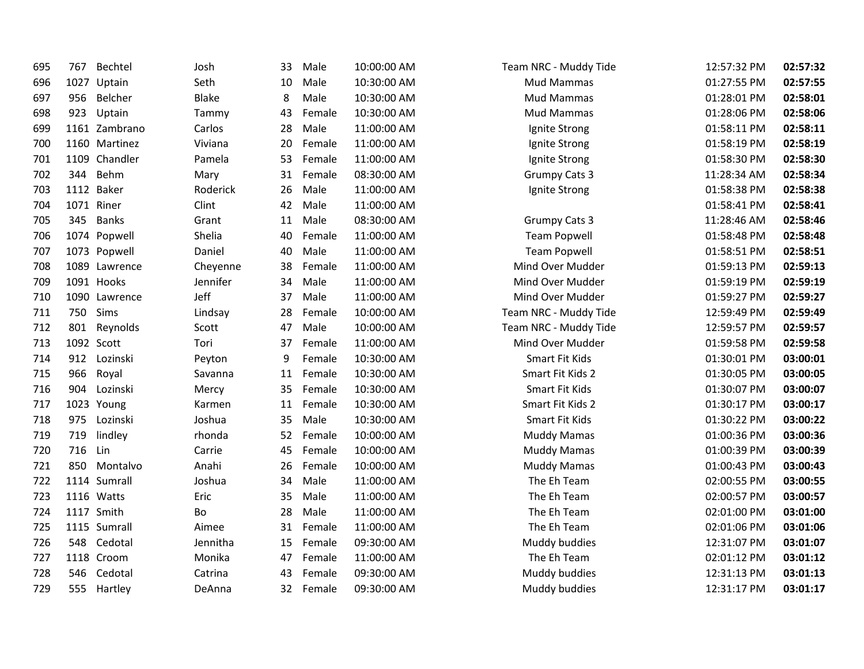| 695 | 767  | Bechtel       | Josh         | 33 | Male      | 10:00:00 AM | Team NRC - Muddy Tide | 12:57:32 PM | 02:57:32 |
|-----|------|---------------|--------------|----|-----------|-------------|-----------------------|-------------|----------|
| 696 | 1027 | Uptain        | Seth         | 10 | Male      | 10:30:00 AM | <b>Mud Mammas</b>     | 01:27:55 PM | 02:57:55 |
| 697 | 956  | Belcher       | <b>Blake</b> | 8  | Male      | 10:30:00 AM | Mud Mammas            | 01:28:01 PM | 02:58:01 |
| 698 | 923  | Uptain        | Tammy        | 43 | Female    | 10:30:00 AM | <b>Mud Mammas</b>     | 01:28:06 PM | 02:58:06 |
| 699 |      | 1161 Zambrano | Carlos       | 28 | Male      | 11:00:00 AM | Ignite Strong         | 01:58:11 PM | 02:58:11 |
| 700 |      | 1160 Martinez | Viviana      | 20 | Female    | 11:00:00 AM | Ignite Strong         | 01:58:19 PM | 02:58:19 |
| 701 |      | 1109 Chandler | Pamela       | 53 | Female    | 11:00:00 AM | Ignite Strong         | 01:58:30 PM | 02:58:30 |
| 702 | 344  | Behm          | Mary         | 31 | Female    | 08:30:00 AM | <b>Grumpy Cats 3</b>  | 11:28:34 AM | 02:58:34 |
| 703 |      | 1112 Baker    | Roderick     | 26 | Male      | 11:00:00 AM | Ignite Strong         | 01:58:38 PM | 02:58:38 |
| 704 |      | 1071 Riner    | Clint        | 42 | Male      | 11:00:00 AM |                       | 01:58:41 PM | 02:58:41 |
| 705 | 345  | <b>Banks</b>  | Grant        | 11 | Male      | 08:30:00 AM | <b>Grumpy Cats 3</b>  | 11:28:46 AM | 02:58:46 |
| 706 |      | 1074 Popwell  | Shelia       | 40 | Female    | 11:00:00 AM | <b>Team Popwell</b>   | 01:58:48 PM | 02:58:48 |
| 707 |      | 1073 Popwell  | Daniel       | 40 | Male      | 11:00:00 AM | <b>Team Popwell</b>   | 01:58:51 PM | 02:58:51 |
| 708 |      | 1089 Lawrence | Cheyenne     | 38 | Female    | 11:00:00 AM | Mind Over Mudder      | 01:59:13 PM | 02:59:13 |
| 709 |      | 1091 Hooks    | Jennifer     | 34 | Male      | 11:00:00 AM | Mind Over Mudder      | 01:59:19 PM | 02:59:19 |
| 710 |      | 1090 Lawrence | Jeff         | 37 | Male      | 11:00:00 AM | Mind Over Mudder      | 01:59:27 PM | 02:59:27 |
| 711 | 750  | Sims          | Lindsay      | 28 | Female    | 10:00:00 AM | Team NRC - Muddy Tide | 12:59:49 PM | 02:59:49 |
| 712 | 801  | Reynolds      | Scott        | 47 | Male      | 10:00:00 AM | Team NRC - Muddy Tide | 12:59:57 PM | 02:59:57 |
| 713 |      | 1092 Scott    | Tori         | 37 | Female    | 11:00:00 AM | Mind Over Mudder      | 01:59:58 PM | 02:59:58 |
| 714 | 912  | Lozinski      | Peyton       | 9  | Female    | 10:30:00 AM | Smart Fit Kids        | 01:30:01 PM | 03:00:01 |
| 715 | 966  | Royal         | Savanna      | 11 | Female    | 10:30:00 AM | Smart Fit Kids 2      | 01:30:05 PM | 03:00:05 |
| 716 | 904  | Lozinski      | Mercy        | 35 | Female    | 10:30:00 AM | Smart Fit Kids        | 01:30:07 PM | 03:00:07 |
| 717 |      | 1023 Young    | Karmen       | 11 | Female    | 10:30:00 AM | Smart Fit Kids 2      | 01:30:17 PM | 03:00:17 |
| 718 | 975  | Lozinski      | Joshua       | 35 | Male      | 10:30:00 AM | Smart Fit Kids        | 01:30:22 PM | 03:00:22 |
| 719 | 719  | lindley       | rhonda       | 52 | Female    | 10:00:00 AM | <b>Muddy Mamas</b>    | 01:00:36 PM | 03:00:36 |
| 720 | 716  | Lin           | Carrie       | 45 | Female    | 10:00:00 AM | <b>Muddy Mamas</b>    | 01:00:39 PM | 03:00:39 |
| 721 | 850  | Montalvo      | Anahi        | 26 | Female    | 10:00:00 AM | Muddy Mamas           | 01:00:43 PM | 03:00:43 |
| 722 |      | 1114 Sumrall  | Joshua       | 34 | Male      | 11:00:00 AM | The Eh Team           | 02:00:55 PM | 03:00:55 |
| 723 |      | 1116 Watts    | Eric         | 35 | Male      | 11:00:00 AM | The Eh Team           | 02:00:57 PM | 03:00:57 |
| 724 |      | 1117 Smith    | Bo           | 28 | Male      | 11:00:00 AM | The Eh Team           | 02:01:00 PM | 03:01:00 |
| 725 |      | 1115 Sumrall  | Aimee        | 31 | Female    | 11:00:00 AM | The Eh Team           | 02:01:06 PM | 03:01:06 |
| 726 | 548  | Cedotal       | Jennitha     | 15 | Female    | 09:30:00 AM | Muddy buddies         | 12:31:07 PM | 03:01:07 |
| 727 |      | 1118 Croom    | Monika       | 47 | Female    | 11:00:00 AM | The Eh Team           | 02:01:12 PM | 03:01:12 |
| 728 | 546  | Cedotal       | Catrina      | 43 | Female    | 09:30:00 AM | Muddy buddies         | 12:31:13 PM | 03:01:13 |
| 729 |      | 555 Hartley   | DeAnna       |    | 32 Female | 09:30:00 AM | Muddy buddies         | 12:31:17 PM | 03:01:17 |
|     |      |               |              |    |           |             |                       |             |          |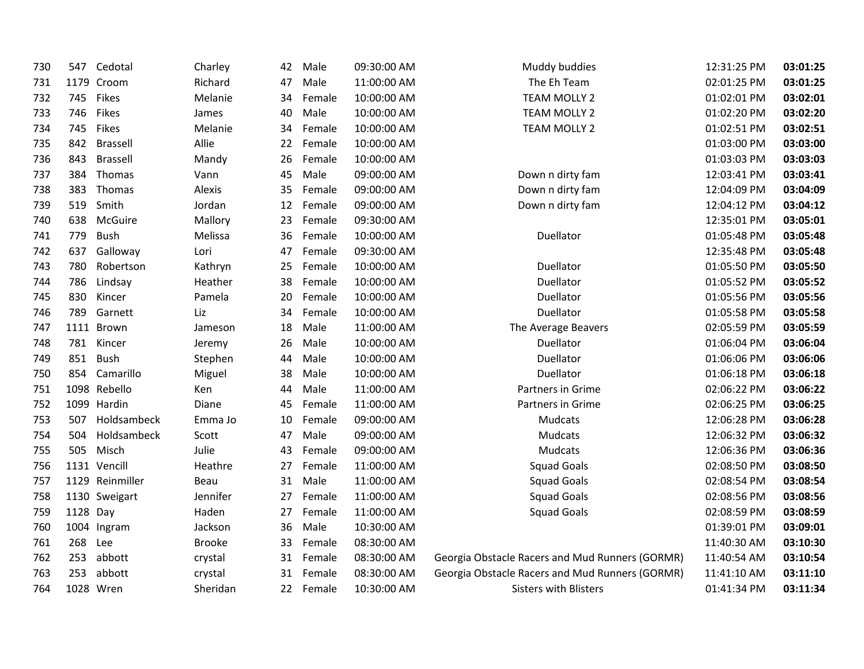| 730 | 547      | Cedotal         | Charley       | 42 | Male   | 09:30:00 AM | Muddy buddies                                   | 12:31:25 PM | 03:01:25 |
|-----|----------|-----------------|---------------|----|--------|-------------|-------------------------------------------------|-------------|----------|
| 731 |          | 1179 Croom      | Richard       | 47 | Male   | 11:00:00 AM | The Eh Team                                     | 02:01:25 PM | 03:01:25 |
| 732 |          | 745 Fikes       | Melanie       | 34 | Female | 10:00:00 AM | <b>TEAM MOLLY 2</b>                             | 01:02:01 PM | 03:02:01 |
| 733 | 746      | Fikes           | James         | 40 | Male   | 10:00:00 AM | <b>TEAM MOLLY 2</b>                             | 01:02:20 PM | 03:02:20 |
| 734 | 745      | Fikes           | Melanie       | 34 | Female | 10:00:00 AM | <b>TEAM MOLLY 2</b>                             | 01:02:51 PM | 03:02:51 |
| 735 | 842      | <b>Brassell</b> | Allie         | 22 | Female | 10:00:00 AM |                                                 | 01:03:00 PM | 03:03:00 |
| 736 | 843      | <b>Brassell</b> | Mandy         | 26 | Female | 10:00:00 AM |                                                 | 01:03:03 PM | 03:03:03 |
| 737 | 384      | Thomas          | Vann          | 45 | Male   | 09:00:00 AM | Down n dirty fam                                | 12:03:41 PM | 03:03:41 |
| 738 | 383      | Thomas          | Alexis        | 35 | Female | 09:00:00 AM | Down n dirty fam                                | 12:04:09 PM | 03:04:09 |
| 739 | 519      | Smith           | Jordan        | 12 | Female | 09:00:00 AM | Down n dirty fam                                | 12:04:12 PM | 03:04:12 |
| 740 | 638      | McGuire         | Mallory       | 23 | Female | 09:30:00 AM |                                                 | 12:35:01 PM | 03:05:01 |
| 741 | 779      | <b>Bush</b>     | Melissa       | 36 | Female | 10:00:00 AM | Duellator                                       | 01:05:48 PM | 03:05:48 |
| 742 | 637      | Galloway        | Lori          | 47 | Female | 09:30:00 AM |                                                 | 12:35:48 PM | 03:05:48 |
| 743 | 780      | Robertson       | Kathryn       | 25 | Female | 10:00:00 AM | Duellator                                       | 01:05:50 PM | 03:05:50 |
| 744 | 786      | Lindsay         | Heather       | 38 | Female | 10:00:00 AM | Duellator                                       | 01:05:52 PM | 03:05:52 |
| 745 | 830      | Kincer          | Pamela        | 20 | Female | 10:00:00 AM | Duellator                                       | 01:05:56 PM | 03:05:56 |
| 746 | 789      | Garnett         | Liz           | 34 | Female | 10:00:00 AM | Duellator                                       | 01:05:58 PM | 03:05:58 |
| 747 |          | 1111 Brown      | Jameson       | 18 | Male   | 11:00:00 AM | The Average Beavers                             | 02:05:59 PM | 03:05:59 |
| 748 |          | 781 Kincer      | Jeremy        | 26 | Male   | 10:00:00 AM | Duellator                                       | 01:06:04 PM | 03:06:04 |
| 749 | 851      | <b>Bush</b>     | Stephen       | 44 | Male   | 10:00:00 AM | Duellator                                       | 01:06:06 PM | 03:06:06 |
| 750 | 854      | Camarillo       | Miguel        | 38 | Male   | 10:00:00 AM | Duellator                                       | 01:06:18 PM | 03:06:18 |
| 751 |          | 1098 Rebello    | Ken           | 44 | Male   | 11:00:00 AM | Partners in Grime                               | 02:06:22 PM | 03:06:22 |
| 752 |          | 1099 Hardin     | Diane         | 45 | Female | 11:00:00 AM | Partners in Grime                               | 02:06:25 PM | 03:06:25 |
| 753 | 507      | Holdsambeck     | Emma Jo       | 10 | Female | 09:00:00 AM | Mudcats                                         | 12:06:28 PM | 03:06:28 |
| 754 | 504      | Holdsambeck     | Scott         | 47 | Male   | 09:00:00 AM | Mudcats                                         | 12:06:32 PM | 03:06:32 |
| 755 | 505      | Misch           | Julie         | 43 | Female | 09:00:00 AM | Mudcats                                         | 12:06:36 PM | 03:06:36 |
| 756 |          | 1131 Vencill    | Heathre       | 27 | Female | 11:00:00 AM | <b>Squad Goals</b>                              | 02:08:50 PM | 03:08:50 |
| 757 |          | 1129 Reinmiller | Beau          | 31 | Male   | 11:00:00 AM | <b>Squad Goals</b>                              | 02:08:54 PM | 03:08:54 |
| 758 |          | 1130 Sweigart   | Jennifer      | 27 | Female | 11:00:00 AM | <b>Squad Goals</b>                              | 02:08:56 PM | 03:08:56 |
| 759 | 1128 Day |                 | Haden         | 27 | Female | 11:00:00 AM | <b>Squad Goals</b>                              | 02:08:59 PM | 03:08:59 |
| 760 |          | 1004 Ingram     | Jackson       | 36 | Male   | 10:30:00 AM |                                                 | 01:39:01 PM | 03:09:01 |
| 761 | 268      | Lee             | <b>Brooke</b> | 33 | Female | 08:30:00 AM |                                                 | 11:40:30 AM | 03:10:30 |
| 762 | 253      | abbott          | crystal       | 31 | Female | 08:30:00 AM | Georgia Obstacle Racers and Mud Runners (GORMR) | 11:40:54 AM | 03:10:54 |
| 763 | 253      | abbott          | crystal       | 31 | Female | 08:30:00 AM | Georgia Obstacle Racers and Mud Runners (GORMR) | 11:41:10 AM | 03:11:10 |
| 764 |          | 1028 Wren       | Sheridan      | 22 | Female | 10:30:00 AM | <b>Sisters with Blisters</b>                    | 01:41:34 PM | 03:11:34 |
|     |          |                 |               |    |        |             |                                                 |             |          |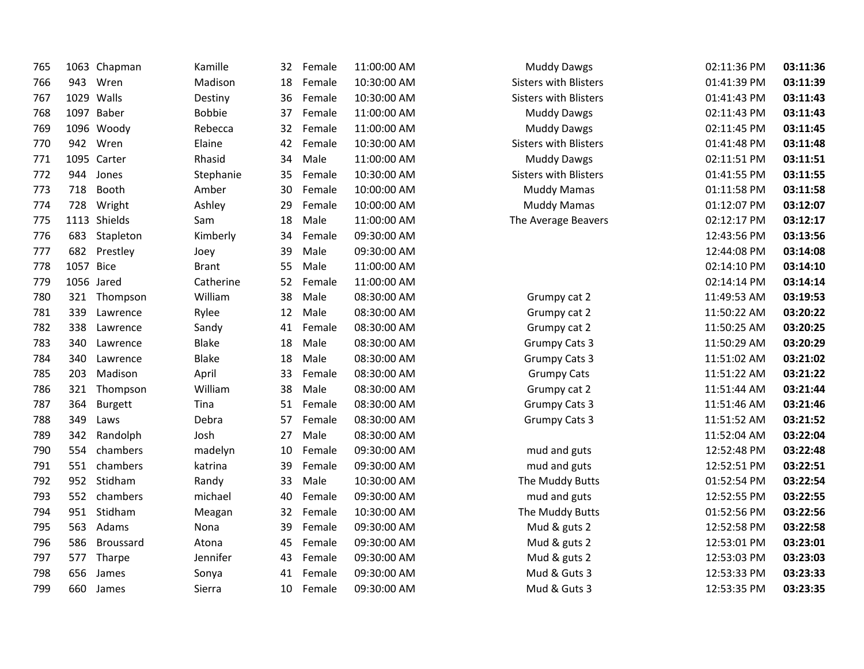| 765 |           | 1063 Chapman | Kamille       | 32 | Female | 11:00:00 AM | <b>Muddy Dawgs</b>           | 02:11:36 PM | 03:11:36 |
|-----|-----------|--------------|---------------|----|--------|-------------|------------------------------|-------------|----------|
| 766 | 943       | Wren         | Madison       | 18 | Female | 10:30:00 AM | <b>Sisters with Blisters</b> | 01:41:39 PM | 03:11:39 |
| 767 |           | 1029 Walls   | Destiny       | 36 | Female | 10:30:00 AM | <b>Sisters with Blisters</b> | 01:41:43 PM | 03:11:43 |
| 768 |           | 1097 Baber   | <b>Bobbie</b> | 37 | Female | 11:00:00 AM | <b>Muddy Dawgs</b>           | 02:11:43 PM | 03:11:43 |
| 769 |           | 1096 Woody   | Rebecca       | 32 | Female | 11:00:00 AM | <b>Muddy Dawgs</b>           | 02:11:45 PM | 03:11:45 |
| 770 | 942       | Wren         | Elaine        | 42 | Female | 10:30:00 AM | <b>Sisters with Blisters</b> | 01:41:48 PM | 03:11:48 |
| 771 |           | 1095 Carter  | Rhasid        | 34 | Male   | 11:00:00 AM | <b>Muddy Dawgs</b>           | 02:11:51 PM | 03:11:51 |
| 772 | 944       | Jones        | Stephanie     | 35 | Female | 10:30:00 AM | <b>Sisters with Blisters</b> | 01:41:55 PM | 03:11:55 |
| 773 | 718       | Booth        | Amber         | 30 | Female | 10:00:00 AM | <b>Muddy Mamas</b>           | 01:11:58 PM | 03:11:58 |
| 774 | 728       | Wright       | Ashley        | 29 | Female | 10:00:00 AM | <b>Muddy Mamas</b>           | 01:12:07 PM | 03:12:07 |
| 775 |           | 1113 Shields | Sam           | 18 | Male   | 11:00:00 AM | The Average Beavers          | 02:12:17 PM | 03:12:17 |
| 776 | 683       | Stapleton    | Kimberly      | 34 | Female | 09:30:00 AM |                              | 12:43:56 PM | 03:13:56 |
| 777 | 682       | Prestley     | Joey          | 39 | Male   | 09:30:00 AM |                              | 12:44:08 PM | 03:14:08 |
| 778 | 1057 Bice |              | <b>Brant</b>  | 55 | Male   | 11:00:00 AM |                              | 02:14:10 PM | 03:14:10 |
| 779 |           | 1056 Jared   | Catherine     | 52 | Female | 11:00:00 AM |                              | 02:14:14 PM | 03:14:14 |
| 780 |           | 321 Thompson | William       | 38 | Male   | 08:30:00 AM | Grumpy cat 2                 | 11:49:53 AM | 03:19:53 |
| 781 | 339       | Lawrence     | Rylee         | 12 | Male   | 08:30:00 AM | Grumpy cat 2                 | 11:50:22 AM | 03:20:22 |
| 782 | 338       | Lawrence     | Sandy         | 41 | Female | 08:30:00 AM | Grumpy cat 2                 | 11:50:25 AM | 03:20:25 |
| 783 | 340       | Lawrence     | Blake         | 18 | Male   | 08:30:00 AM | <b>Grumpy Cats 3</b>         | 11:50:29 AM | 03:20:29 |
| 784 | 340       | Lawrence     | Blake         | 18 | Male   | 08:30:00 AM | <b>Grumpy Cats 3</b>         | 11:51:02 AM | 03:21:02 |
| 785 | 203       | Madison      | April         | 33 | Female | 08:30:00 AM | <b>Grumpy Cats</b>           | 11:51:22 AM | 03:21:22 |
| 786 | 321       | Thompson     | William       | 38 | Male   | 08:30:00 AM | Grumpy cat 2                 | 11:51:44 AM | 03:21:44 |
| 787 | 364       | Burgett      | Tina          | 51 | Female | 08:30:00 AM | <b>Grumpy Cats 3</b>         | 11:51:46 AM | 03:21:46 |
| 788 | 349       | Laws         | Debra         | 57 | Female | 08:30:00 AM | Grumpy Cats 3                | 11:51:52 AM | 03:21:52 |
| 789 | 342       | Randolph     | Josh          | 27 | Male   | 08:30:00 AM |                              | 11:52:04 AM | 03:22:04 |
| 790 | 554       | chambers     | madelyn       | 10 | Female | 09:30:00 AM | mud and guts                 | 12:52:48 PM | 03:22:48 |
| 791 | 551       | chambers     | katrina       | 39 | Female | 09:30:00 AM | mud and guts                 | 12:52:51 PM | 03:22:51 |
| 792 | 952       | Stidham      | Randy         | 33 | Male   | 10:30:00 AM | The Muddy Butts              | 01:52:54 PM | 03:22:54 |
| 793 |           | 552 chambers | michael       | 40 | Female | 09:30:00 AM | mud and guts                 | 12:52:55 PM | 03:22:55 |
| 794 | 951       | Stidham      | Meagan        | 32 | Female | 10:30:00 AM | The Muddy Butts              | 01:52:56 PM | 03:22:56 |
| 795 | 563       | Adams        | Nona          | 39 | Female | 09:30:00 AM | Mud & guts 2                 | 12:52:58 PM | 03:22:58 |
| 796 | 586       | Broussard    | Atona         | 45 | Female | 09:30:00 AM | Mud & guts 2                 | 12:53:01 PM | 03:23:01 |
| 797 |           | 577 Tharpe   | Jennifer      | 43 | Female | 09:30:00 AM | Mud & guts 2                 | 12:53:03 PM | 03:23:03 |
| 798 | 656       | James        | Sonya         | 41 | Female | 09:30:00 AM | Mud & Guts 3                 | 12:53:33 PM | 03:23:33 |
| 799 | 660       | James        | Sierra        | 10 | Female | 09:30:00 AM | Mud & Guts 3                 | 12:53:35 PM | 03:23:35 |
|     |           |              |               |    |        |             |                              |             |          |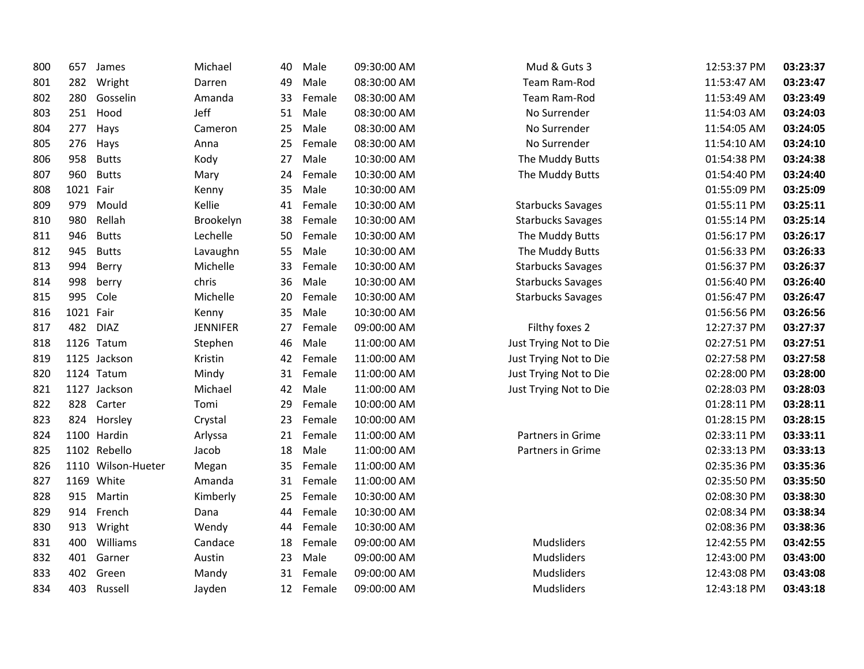| 800 | 657       | James              | Michael         | 40 | Male   | 09:30:00 AM | Mud & Guts 3             | 12:53:37 PM | 03:23:37 |
|-----|-----------|--------------------|-----------------|----|--------|-------------|--------------------------|-------------|----------|
| 801 | 282       | Wright             | Darren          | 49 | Male   | 08:30:00 AM | Team Ram-Rod             | 11:53:47 AM | 03:23:47 |
| 802 | 280       | Gosselin           | Amanda          | 33 | Female | 08:30:00 AM | Team Ram-Rod             | 11:53:49 AM | 03:23:49 |
| 803 | 251       | Hood               | Jeff            | 51 | Male   | 08:30:00 AM | No Surrender             | 11:54:03 AM | 03:24:03 |
| 804 | 277       | Hays               | Cameron         | 25 | Male   | 08:30:00 AM | No Surrender             | 11:54:05 AM | 03:24:05 |
| 805 | 276       | Hays               | Anna            | 25 | Female | 08:30:00 AM | No Surrender             | 11:54:10 AM | 03:24:10 |
| 806 | 958       | <b>Butts</b>       | Kody            | 27 | Male   | 10:30:00 AM | The Muddy Butts          | 01:54:38 PM | 03:24:38 |
| 807 | 960       | <b>Butts</b>       | Mary            | 24 | Female | 10:30:00 AM | The Muddy Butts          | 01:54:40 PM | 03:24:40 |
| 808 | 1021 Fair |                    | Kenny           | 35 | Male   | 10:30:00 AM |                          | 01:55:09 PM | 03:25:09 |
| 809 | 979       | Mould              | Kellie          | 41 | Female | 10:30:00 AM | <b>Starbucks Savages</b> | 01:55:11 PM | 03:25:11 |
| 810 | 980       | Rellah             | Brookelyn       | 38 | Female | 10:30:00 AM | <b>Starbucks Savages</b> | 01:55:14 PM | 03:25:14 |
| 811 | 946       | <b>Butts</b>       | Lechelle        | 50 | Female | 10:30:00 AM | The Muddy Butts          | 01:56:17 PM | 03:26:17 |
| 812 | 945       | <b>Butts</b>       | Lavaughn        | 55 | Male   | 10:30:00 AM | The Muddy Butts          | 01:56:33 PM | 03:26:33 |
| 813 | 994       | Berry              | Michelle        | 33 | Female | 10:30:00 AM | <b>Starbucks Savages</b> | 01:56:37 PM | 03:26:37 |
| 814 | 998       | berry              | chris           | 36 | Male   | 10:30:00 AM | <b>Starbucks Savages</b> | 01:56:40 PM | 03:26:40 |
| 815 | 995       | Cole               | Michelle        | 20 | Female | 10:30:00 AM | <b>Starbucks Savages</b> | 01:56:47 PM | 03:26:47 |
| 816 | 1021 Fair |                    | Kenny           | 35 | Male   | 10:30:00 AM |                          | 01:56:56 PM | 03:26:56 |
| 817 | 482       | <b>DIAZ</b>        | <b>JENNIFER</b> | 27 | Female | 09:00:00 AM | Filthy foxes 2           | 12:27:37 PM | 03:27:37 |
| 818 |           | 1126 Tatum         | Stephen         | 46 | Male   | 11:00:00 AM | Just Trying Not to Die   | 02:27:51 PM | 03:27:51 |
| 819 |           | 1125 Jackson       | Kristin         | 42 | Female | 11:00:00 AM | Just Trying Not to Die   | 02:27:58 PM | 03:27:58 |
| 820 |           | 1124 Tatum         | Mindy           | 31 | Female | 11:00:00 AM | Just Trying Not to Die   | 02:28:00 PM | 03:28:00 |
| 821 |           | 1127 Jackson       | Michael         | 42 | Male   | 11:00:00 AM | Just Trying Not to Die   | 02:28:03 PM | 03:28:03 |
| 822 | 828       | Carter             | Tomi            | 29 | Female | 10:00:00 AM |                          | 01:28:11 PM | 03:28:11 |
| 823 | 824       | Horsley            | Crystal         | 23 | Female | 10:00:00 AM |                          | 01:28:15 PM | 03:28:15 |
| 824 |           | 1100 Hardin        | Arlyssa         | 21 | Female | 11:00:00 AM | Partners in Grime        | 02:33:11 PM | 03:33:11 |
| 825 |           | 1102 Rebello       | Jacob           | 18 | Male   | 11:00:00 AM | Partners in Grime        | 02:33:13 PM | 03:33:13 |
| 826 |           | 1110 Wilson-Hueter | Megan           | 35 | Female | 11:00:00 AM |                          | 02:35:36 PM | 03:35:36 |
| 827 |           | 1169 White         | Amanda          | 31 | Female | 11:00:00 AM |                          | 02:35:50 PM | 03:35:50 |
| 828 | 915       | Martin             | Kimberly        | 25 | Female | 10:30:00 AM |                          | 02:08:30 PM | 03:38:30 |
| 829 | 914       | French             | Dana            | 44 | Female | 10:30:00 AM |                          | 02:08:34 PM | 03:38:34 |
| 830 | 913       | Wright             | Wendy           | 44 | Female | 10:30:00 AM |                          | 02:08:36 PM | 03:38:36 |
| 831 | 400       | Williams           | Candace         | 18 | Female | 09:00:00 AM | Mudsliders               | 12:42:55 PM | 03:42:55 |
| 832 | 401       | Garner             | Austin          | 23 | Male   | 09:00:00 AM | Mudsliders               | 12:43:00 PM | 03:43:00 |
| 833 | 402       | Green              | Mandy           | 31 | Female | 09:00:00 AM | Mudsliders               | 12:43:08 PM | 03:43:08 |
| 834 | 403       | Russell            | Jayden          | 12 | Female | 09:00:00 AM | Mudsliders               | 12:43:18 PM | 03:43:18 |
|     |           |                    |                 |    |        |             |                          |             |          |